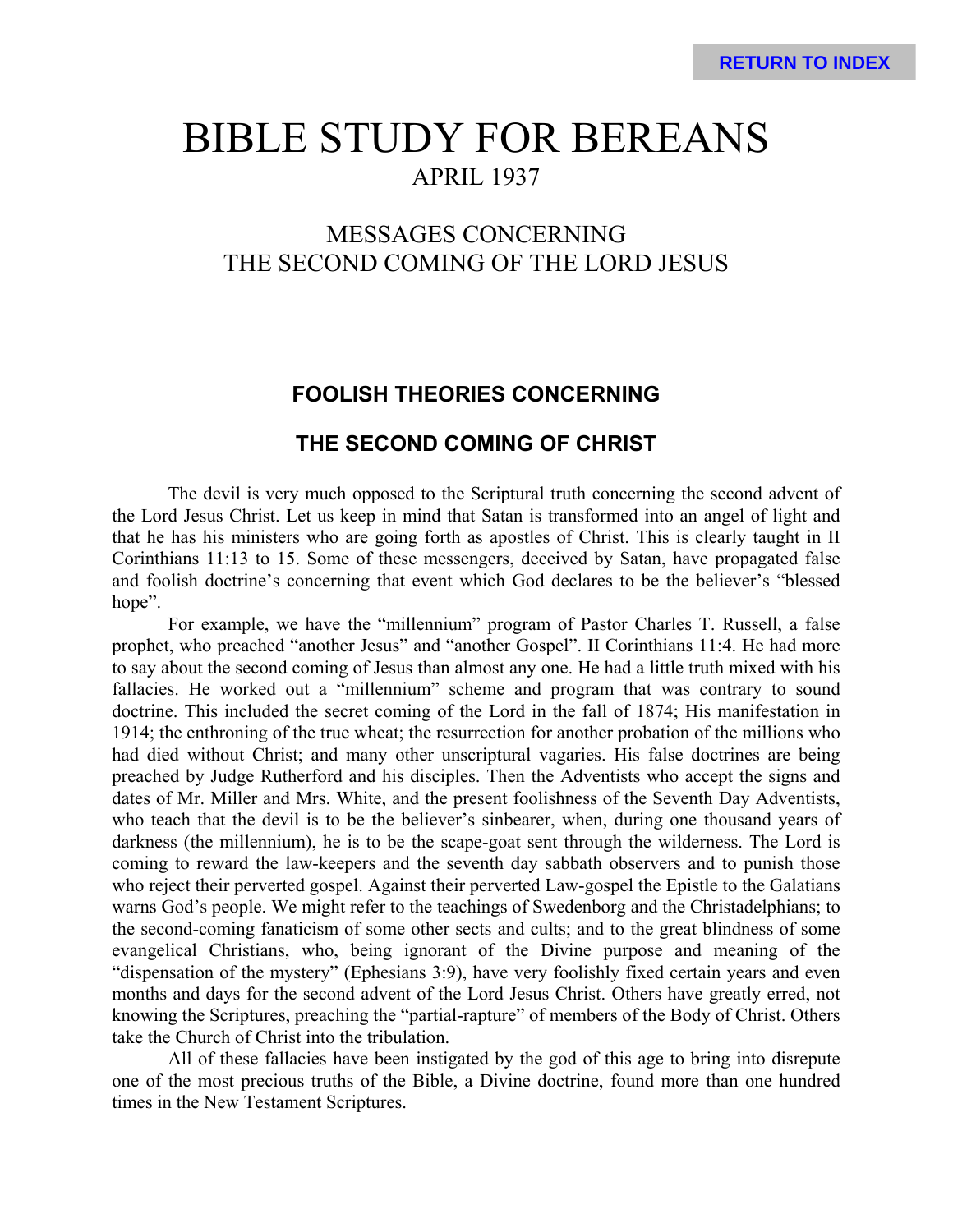# BIBLE STUDY FOR BEREANS APRIL 1937

## MESSAGES CONCERNING THE SECOND COMING OF THE LORD JESUS

## **FOOLISH THEORIES CONCERNING**

### **THE SECOND COMING OF CHRIST**

The devil is very much opposed to the Scriptural truth concerning the second advent of the Lord Jesus Christ. Let us keep in mind that Satan is transformed into an angel of light and that he has his ministers who are going forth as apostles of Christ. This is clearly taught in II Corinthians 11:13 to 15. Some of these messengers, deceived by Satan, have propagated false and foolish doctrine's concerning that event which God declares to be the believer's "blessed hope".

For example, we have the "millennium" program of Pastor Charles T. Russell, a false prophet, who preached "another Jesus" and "another Gospel". II Corinthians 11:4. He had more to say about the second coming of Jesus than almost any one. He had a little truth mixed with his fallacies. He worked out a "millennium" scheme and program that was contrary to sound doctrine. This included the secret coming of the Lord in the fall of 1874; His manifestation in 1914; the enthroning of the true wheat; the resurrection for another probation of the millions who had died without Christ; and many other unscriptural vagaries. His false doctrines are being preached by Judge Rutherford and his disciples. Then the Adventists who accept the signs and dates of Mr. Miller and Mrs. White, and the present foolishness of the Seventh Day Adventists, who teach that the devil is to be the believer's sinbearer, when, during one thousand years of darkness (the millennium), he is to be the scape-goat sent through the wilderness. The Lord is coming to reward the law-keepers and the seventh day sabbath observers and to punish those who reject their perverted gospel. Against their perverted Law-gospel the Epistle to the Galatians warns God's people. We might refer to the teachings of Swedenborg and the Christadelphians; to the second-coming fanaticism of some other sects and cults; and to the great blindness of some evangelical Christians, who, being ignorant of the Divine purpose and meaning of the "dispensation of the mystery" (Ephesians 3:9), have very foolishly fixed certain years and even months and days for the second advent of the Lord Jesus Christ. Others have greatly erred, not knowing the Scriptures, preaching the "partial-rapture" of members of the Body of Christ. Others take the Church of Christ into the tribulation.

All of these fallacies have been instigated by the god of this age to bring into disrepute one of the most precious truths of the Bible, a Divine doctrine, found more than one hundred times in the New Testament Scriptures.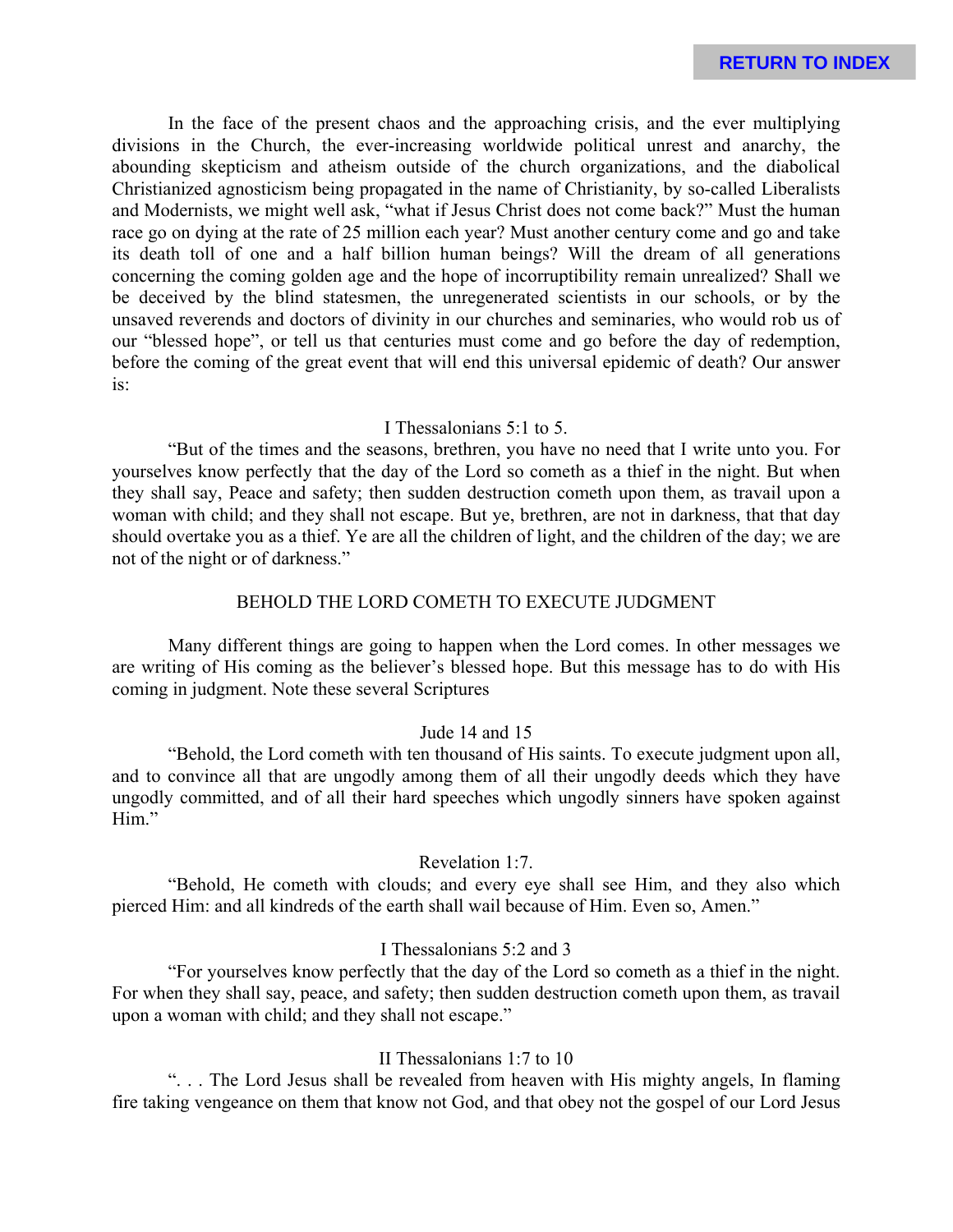In the face of the present chaos and the approaching crisis, and the ever multiplying divisions in the Church, the ever-increasing worldwide political unrest and anarchy, the abounding skepticism and atheism outside of the church organizations, and the diabolical Christianized agnosticism being propagated in the name of Christianity, by so-called Liberalists and Modernists, we might well ask, "what if Jesus Christ does not come back?" Must the human race go on dying at the rate of 25 million each year? Must another century come and go and take its death toll of one and a half billion human beings? Will the dream of all generations concerning the coming golden age and the hope of incorruptibility remain unrealized? Shall we be deceived by the blind statesmen, the unregenerated scientists in our schools, or by the unsaved reverends and doctors of divinity in our churches and seminaries, who would rob us of our "blessed hope", or tell us that centuries must come and go before the day of redemption, before the coming of the great event that will end this universal epidemic of death? Our answer is:

### I Thessalonians 5:1 to 5.

"But of the times and the seasons, brethren, you have no need that I write unto you. For yourselves know perfectly that the day of the Lord so cometh as a thief in the night. But when they shall say, Peace and safety; then sudden destruction cometh upon them, as travail upon a woman with child; and they shall not escape. But ye, brethren, are not in darkness, that that day should overtake you as a thief. Ye are all the children of light, and the children of the day; we are not of the night or of darkness."

### BEHOLD THE LORD COMETH TO EXECUTE JUDGMENT

Many different things are going to happen when the Lord comes. In other messages we are writing of His coming as the believer's blessed hope. But this message has to do with His coming in judgment. Note these several Scriptures

### Jude 14 and 15

"Behold, the Lord cometh with ten thousand of His saints. To execute judgment upon all, and to convince all that are ungodly among them of all their ungodly deeds which they have ungodly committed, and of all their hard speeches which ungodly sinners have spoken against Him."

#### Revelation 1:7.

"Behold, He cometh with clouds; and every eye shall see Him, and they also which pierced Him: and all kindreds of the earth shall wail because of Him. Even so, Amen."

### I Thessalonians 5:2 and 3

"For yourselves know perfectly that the day of the Lord so cometh as a thief in the night. For when they shall say, peace, and safety; then sudden destruction cometh upon them, as travail upon a woman with child; and they shall not escape."

### II Thessalonians 1:7 to 10

". . . The Lord Jesus shall be revealed from heaven with His mighty angels, In flaming fire taking vengeance on them that know not God, and that obey not the gospel of our Lord Jesus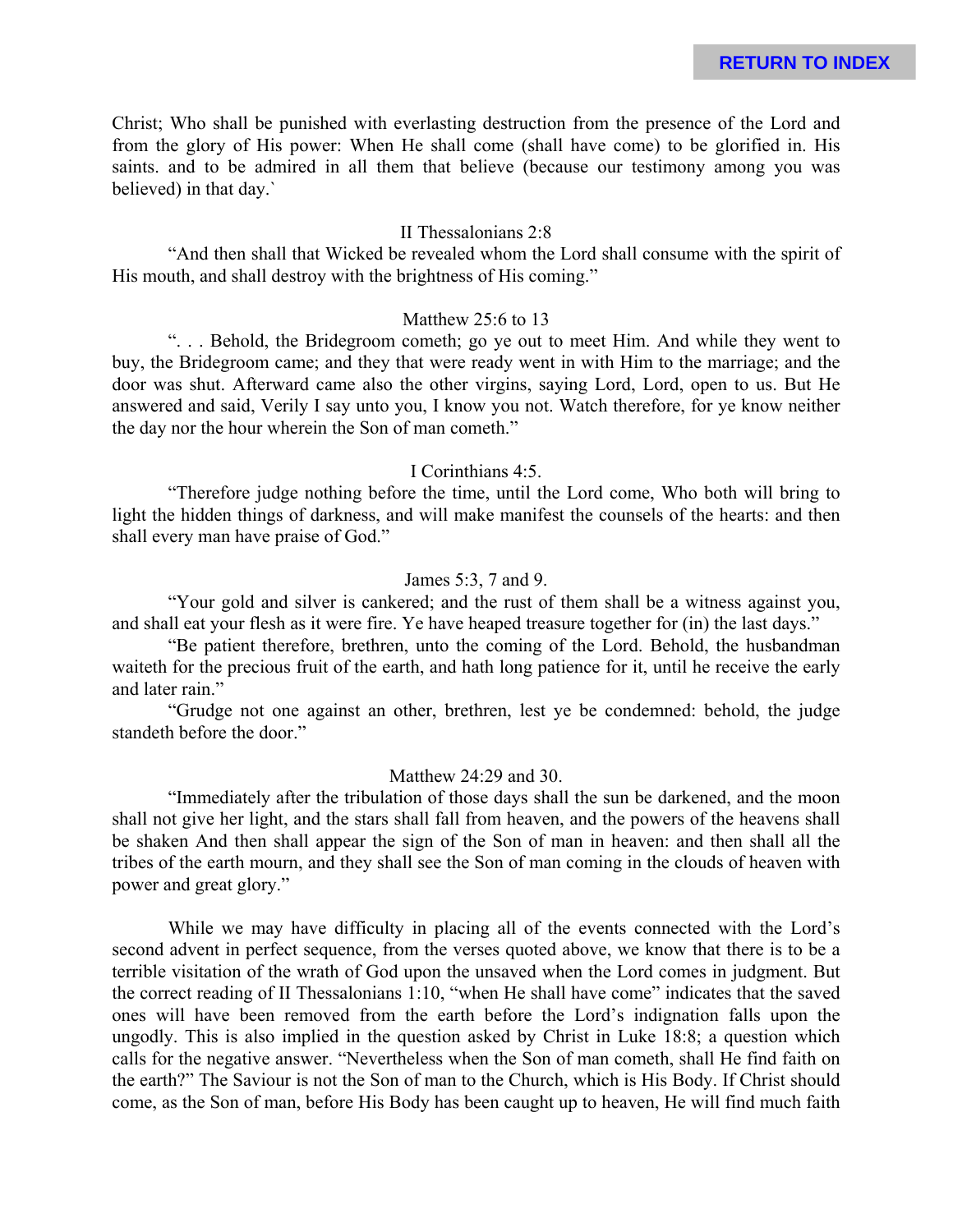Christ; Who shall be punished with everlasting destruction from the presence of the Lord and from the glory of His power: When He shall come (shall have come) to be glorified in. His saints. and to be admired in all them that believe (because our testimony among you was believed) in that day.`

### II Thessalonians 2:8

"And then shall that Wicked be revealed whom the Lord shall consume with the spirit of His mouth, and shall destroy with the brightness of His coming."

### Matthew 25:6 to 13

". . . Behold, the Bridegroom cometh; go ye out to meet Him. And while they went to buy, the Bridegroom came; and they that were ready went in with Him to the marriage; and the door was shut. Afterward came also the other virgins, saying Lord, Lord, open to us. But He answered and said, Verily I say unto you, I know you not. Watch therefore, for ye know neither the day nor the hour wherein the Son of man cometh."

### I Corinthians 4:5.

"Therefore judge nothing before the time, until the Lord come, Who both will bring to light the hidden things of darkness, and will make manifest the counsels of the hearts: and then shall every man have praise of God."

### James 5:3, 7 and 9.

"Your gold and silver is cankered; and the rust of them shall be a witness against you, and shall eat your flesh as it were fire. Ye have heaped treasure together for (in) the last days."

"Be patient therefore, brethren, unto the coming of the Lord. Behold, the husbandman waiteth for the precious fruit of the earth, and hath long patience for it, until he receive the early and later rain."

"Grudge not one against an other, brethren, lest ye be condemned: behold, the judge standeth before the door."

#### Matthew 24:29 and 30.

"Immediately after the tribulation of those days shall the sun be darkened, and the moon shall not give her light, and the stars shall fall from heaven, and the powers of the heavens shall be shaken And then shall appear the sign of the Son of man in heaven: and then shall all the tribes of the earth mourn, and they shall see the Son of man coming in the clouds of heaven with power and great glory."

While we may have difficulty in placing all of the events connected with the Lord's second advent in perfect sequence, from the verses quoted above, we know that there is to be a terrible visitation of the wrath of God upon the unsaved when the Lord comes in judgment. But the correct reading of II Thessalonians 1:10, "when He shall have come" indicates that the saved ones will have been removed from the earth before the Lord's indignation falls upon the ungodly. This is also implied in the question asked by Christ in Luke 18:8; a question which calls for the negative answer. "Nevertheless when the Son of man cometh, shall He find faith on the earth?" The Saviour is not the Son of man to the Church, which is His Body. If Christ should come, as the Son of man, before His Body has been caught up to heaven, He will find much faith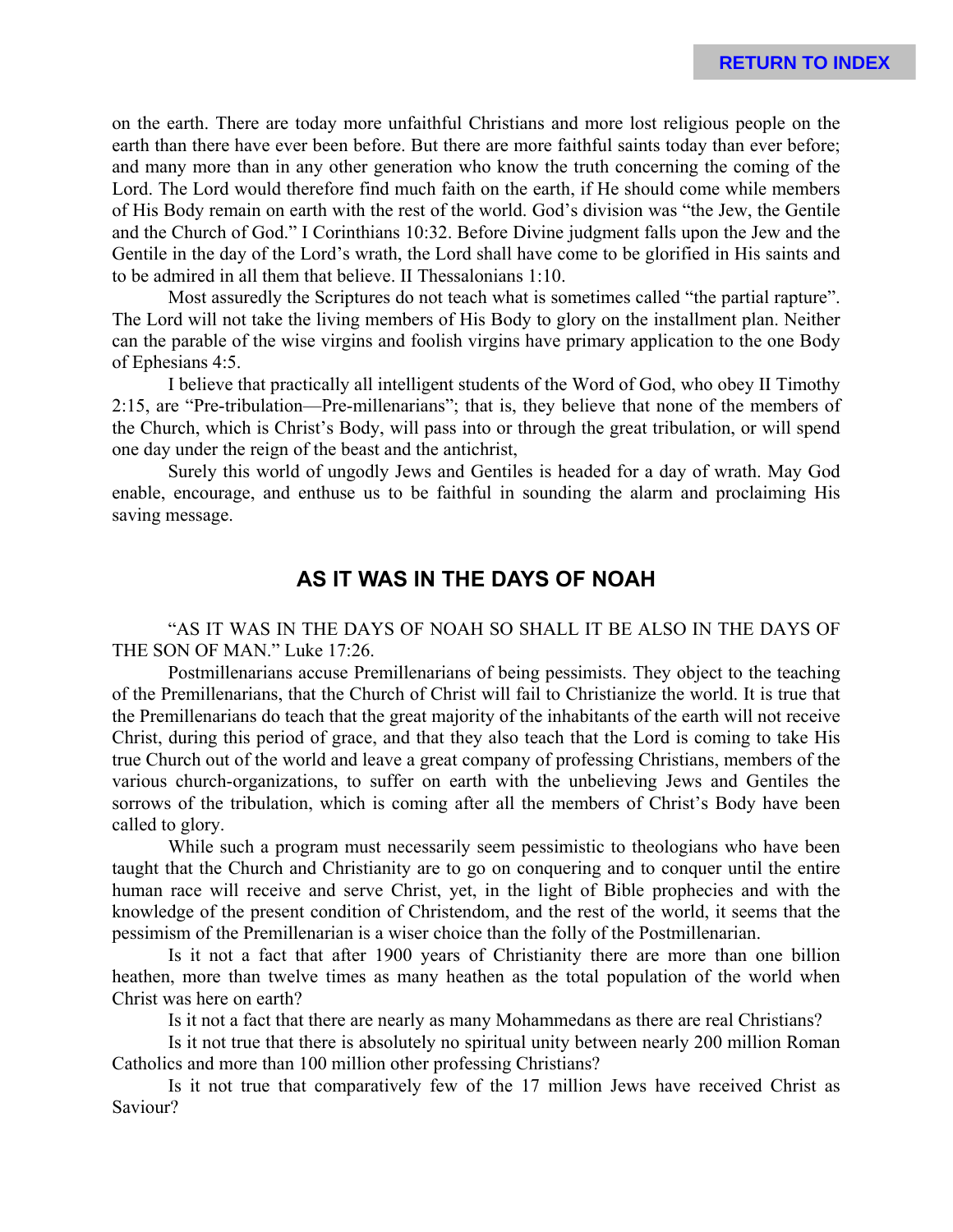on the earth. There are today more unfaithful Christians and more lost religious people on the earth than there have ever been before. But there are more faithful saints today than ever before; and many more than in any other generation who know the truth concerning the coming of the Lord. The Lord would therefore find much faith on the earth, if He should come while members of His Body remain on earth with the rest of the world. God's division was "the Jew, the Gentile and the Church of God." I Corinthians 10:32. Before Divine judgment falls upon the Jew and the Gentile in the day of the Lord's wrath, the Lord shall have come to be glorified in His saints and to be admired in all them that believe. II Thessalonians 1:10.

Most assuredly the Scriptures do not teach what is sometimes called "the partial rapture". The Lord will not take the living members of His Body to glory on the installment plan. Neither can the parable of the wise virgins and foolish virgins have primary application to the one Body of Ephesians 4:5.

I believe that practically all intelligent students of the Word of God, who obey II Timothy 2:15, are "Pre-tribulation—Pre-millenarians"; that is, they believe that none of the members of the Church, which is Christ's Body, will pass into or through the great tribulation, or will spend one day under the reign of the beast and the antichrist,

Surely this world of ungodly Jews and Gentiles is headed for a day of wrath. May God enable, encourage, and enthuse us to be faithful in sounding the alarm and proclaiming His saving message.

## **AS IT WAS IN THE DAYS OF NOAH**

"AS IT WAS IN THE DAYS OF NOAH SO SHALL IT BE ALSO IN THE DAYS OF THE SON OF MAN." Luke 17:26.

Postmillenarians accuse Premillenarians of being pessimists. They object to the teaching of the Premillenarians, that the Church of Christ will fail to Christianize the world. It is true that the Premillenarians do teach that the great majority of the inhabitants of the earth will not receive Christ, during this period of grace, and that they also teach that the Lord is coming to take His true Church out of the world and leave a great company of professing Christians, members of the various church-organizations, to suffer on earth with the unbelieving Jews and Gentiles the sorrows of the tribulation, which is coming after all the members of Christ's Body have been called to glory.

While such a program must necessarily seem pessimistic to theologians who have been taught that the Church and Christianity are to go on conquering and to conquer until the entire human race will receive and serve Christ, yet, in the light of Bible prophecies and with the knowledge of the present condition of Christendom, and the rest of the world, it seems that the pessimism of the Premillenarian is a wiser choice than the folly of the Postmillenarian.

Is it not a fact that after 1900 years of Christianity there are more than one billion heathen, more than twelve times as many heathen as the total population of the world when Christ was here on earth?

Is it not a fact that there are nearly as many Mohammedans as there are real Christians?

Is it not true that there is absolutely no spiritual unity between nearly 200 million Roman Catholics and more than 100 million other professing Christians?

Is it not true that comparatively few of the 17 million Jews have received Christ as Saviour?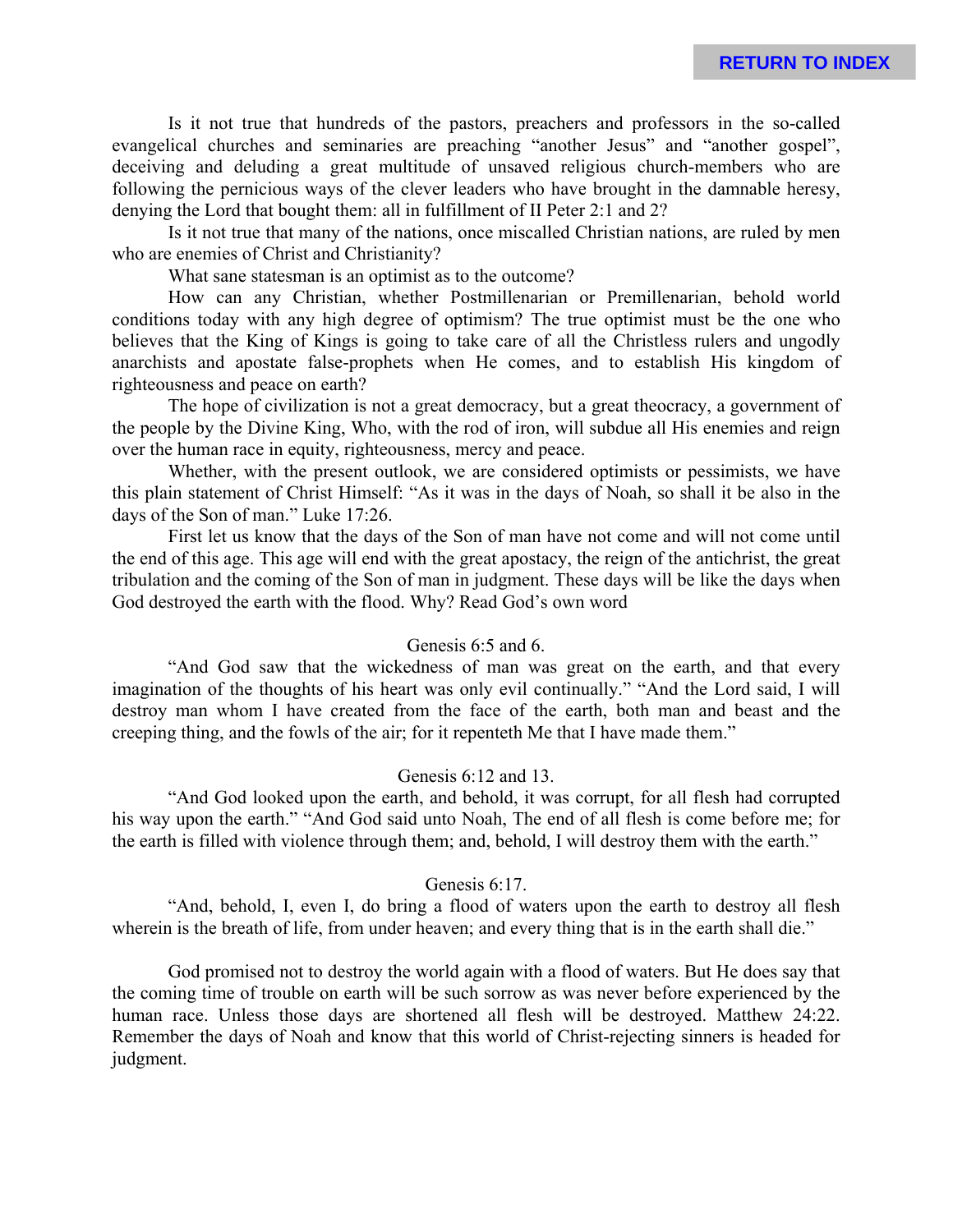Is it not true that hundreds of the pastors, preachers and professors in the so-called evangelical churches and seminaries are preaching "another Jesus" and "another gospel", deceiving and deluding a great multitude of unsaved religious church-members who are following the pernicious ways of the clever leaders who have brought in the damnable heresy, denying the Lord that bought them: all in fulfillment of II Peter 2:1 and 2?

Is it not true that many of the nations, once miscalled Christian nations, are ruled by men who are enemies of Christ and Christianity?

What sane statesman is an optimist as to the outcome?

How can any Christian, whether Postmillenarian or Premillenarian, behold world conditions today with any high degree of optimism? The true optimist must be the one who believes that the King of Kings is going to take care of all the Christless rulers and ungodly anarchists and apostate false-prophets when He comes, and to establish His kingdom of righteousness and peace on earth?

The hope of civilization is not a great democracy, but a great theocracy, a government of the people by the Divine King, Who, with the rod of iron, will subdue all His enemies and reign over the human race in equity, righteousness, mercy and peace.

Whether, with the present outlook, we are considered optimists or pessimists, we have this plain statement of Christ Himself: "As it was in the days of Noah, so shall it be also in the days of the Son of man." Luke 17:26.

First let us know that the days of the Son of man have not come and will not come until the end of this age. This age will end with the great apostacy, the reign of the antichrist, the great tribulation and the coming of the Son of man in judgment. These days will be like the days when God destroyed the earth with the flood. Why? Read God's own word

#### Genesis 6:5 and 6.

"And God saw that the wickedness of man was great on the earth, and that every imagination of the thoughts of his heart was only evil continually." "And the Lord said, I will destroy man whom I have created from the face of the earth, both man and beast and the creeping thing, and the fowls of the air; for it repenteth Me that I have made them."

#### Genesis 6:12 and 13.

"And God looked upon the earth, and behold, it was corrupt, for all flesh had corrupted his way upon the earth." "And God said unto Noah, The end of all flesh is come before me; for the earth is filled with violence through them; and, behold, I will destroy them with the earth."

### Genesis 6:17.

"And, behold, I, even I, do bring a flood of waters upon the earth to destroy all flesh wherein is the breath of life, from under heaven; and every thing that is in the earth shall die."

God promised not to destroy the world again with a flood of waters. But He does say that the coming time of trouble on earth will be such sorrow as was never before experienced by the human race. Unless those days are shortened all flesh will be destroyed. Matthew 24:22. Remember the days of Noah and know that this world of Christ-rejecting sinners is headed for judgment.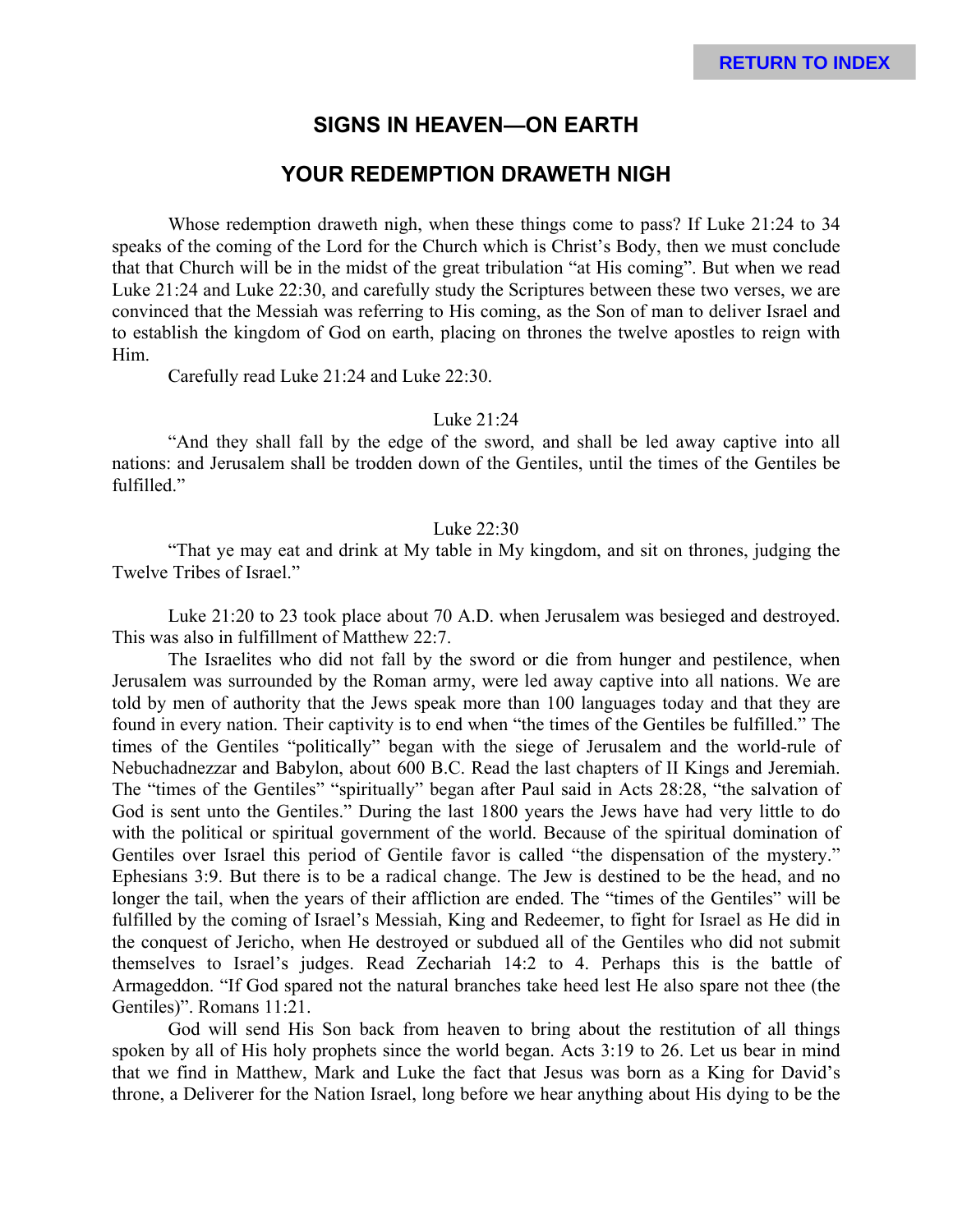## **SIGNS IN HEAVEN—ON EARTH**

## **YOUR REDEMPTION DRAWETH NIGH**

Whose redemption draweth nigh, when these things come to pass? If Luke 21:24 to 34 speaks of the coming of the Lord for the Church which is Christ's Body, then we must conclude that that Church will be in the midst of the great tribulation "at His coming". But when we read Luke 21:24 and Luke 22:30, and carefully study the Scriptures between these two verses, we are convinced that the Messiah was referring to His coming, as the Son of man to deliver Israel and to establish the kingdom of God on earth, placing on thrones the twelve apostles to reign with Him.

Carefully read Luke 21:24 and Luke 22:30.

#### Luke 21:24

"And they shall fall by the edge of the sword, and shall be led away captive into all nations: and Jerusalem shall be trodden down of the Gentiles, until the times of the Gentiles be fulfilled."

#### Luke 22:30

"That ye may eat and drink at My table in My kingdom, and sit on thrones, judging the Twelve Tribes of Israel."

Luke 21:20 to 23 took place about 70 A.D. when Jerusalem was besieged and destroyed. This was also in fulfillment of Matthew 22:7.

The Israelites who did not fall by the sword or die from hunger and pestilence, when Jerusalem was surrounded by the Roman army, were led away captive into all nations. We are told by men of authority that the Jews speak more than 100 languages today and that they are found in every nation. Their captivity is to end when "the times of the Gentiles be fulfilled." The times of the Gentiles "politically" began with the siege of Jerusalem and the world-rule of Nebuchadnezzar and Babylon, about 600 B.C. Read the last chapters of II Kings and Jeremiah. The "times of the Gentiles" "spiritually" began after Paul said in Acts 28:28, "the salvation of God is sent unto the Gentiles." During the last 1800 years the Jews have had very little to do with the political or spiritual government of the world. Because of the spiritual domination of Gentiles over Israel this period of Gentile favor is called "the dispensation of the mystery." Ephesians 3:9. But there is to be a radical change. The Jew is destined to be the head, and no longer the tail, when the years of their affliction are ended. The "times of the Gentiles" will be fulfilled by the coming of Israel's Messiah, King and Redeemer, to fight for Israel as He did in the conquest of Jericho, when He destroyed or subdued all of the Gentiles who did not submit themselves to Israel's judges. Read Zechariah 14:2 to 4. Perhaps this is the battle of Armageddon. "If God spared not the natural branches take heed lest He also spare not thee (the Gentiles)". Romans 11:21.

God will send His Son back from heaven to bring about the restitution of all things spoken by all of His holy prophets since the world began. Acts 3:19 to 26. Let us bear in mind that we find in Matthew, Mark and Luke the fact that Jesus was born as a King for David's throne, a Deliverer for the Nation Israel, long before we hear anything about His dying to be the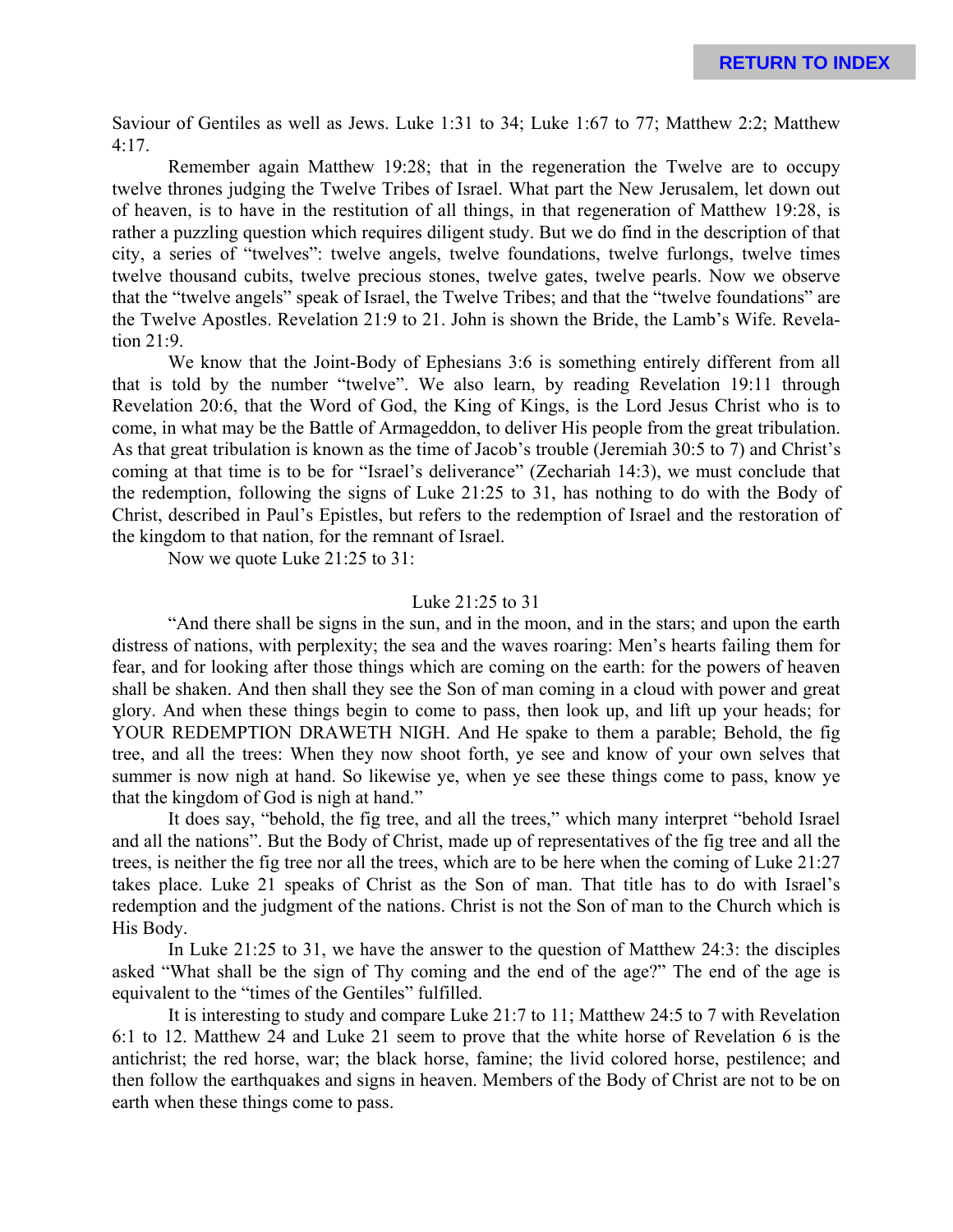Saviour of Gentiles as well as Jews. Luke 1:31 to 34; Luke 1:67 to 77; Matthew 2:2; Matthew 4:17.

Remember again Matthew 19:28; that in the regeneration the Twelve are to occupy twelve thrones judging the Twelve Tribes of Israel. What part the New Jerusalem, let down out of heaven, is to have in the restitution of all things, in that regeneration of Matthew 19:28, is rather a puzzling question which requires diligent study. But we do find in the description of that city, a series of "twelves": twelve angels, twelve foundations, twelve furlongs, twelve times twelve thousand cubits, twelve precious stones, twelve gates, twelve pearls. Now we observe that the "twelve angels" speak of Israel, the Twelve Tribes; and that the "twelve foundations" are the Twelve Apostles. Revelation 21:9 to 21. John is shown the Bride, the Lamb's Wife. Revelation 21:9.

We know that the Joint-Body of Ephesians 3:6 is something entirely different from all that is told by the number "twelve". We also learn, by reading Revelation 19:11 through Revelation 20:6, that the Word of God, the King of Kings, is the Lord Jesus Christ who is to come, in what may be the Battle of Armageddon, to deliver His people from the great tribulation. As that great tribulation is known as the time of Jacob's trouble (Jeremiah 30:5 to 7) and Christ's coming at that time is to be for "Israel's deliverance" (Zechariah 14:3), we must conclude that the redemption, following the signs of Luke 21:25 to 31, has nothing to do with the Body of Christ, described in Paul's Epistles, but refers to the redemption of Israel and the restoration of the kingdom to that nation, for the remnant of Israel.

Now we quote Luke 21:25 to 31:

### Luke 21:25 to 31

"And there shall be signs in the sun, and in the moon, and in the stars; and upon the earth distress of nations, with perplexity; the sea and the waves roaring: Men's hearts failing them for fear, and for looking after those things which are coming on the earth: for the powers of heaven shall be shaken. And then shall they see the Son of man coming in a cloud with power and great glory. And when these things begin to come to pass, then look up, and lift up your heads; for YOUR REDEMPTION DRAWETH NIGH. And He spake to them a parable; Behold, the fig tree, and all the trees: When they now shoot forth, ye see and know of your own selves that summer is now nigh at hand. So likewise ye, when ye see these things come to pass, know ye that the kingdom of God is nigh at hand."

It does say, "behold, the fig tree, and all the trees," which many interpret "behold Israel and all the nations". But the Body of Christ, made up of representatives of the fig tree and all the trees, is neither the fig tree nor all the trees, which are to be here when the coming of Luke 21:27 takes place. Luke 21 speaks of Christ as the Son of man. That title has to do with Israel's redemption and the judgment of the nations. Christ is not the Son of man to the Church which is His Body.

In Luke 21:25 to 31, we have the answer to the question of Matthew 24:3: the disciples asked "What shall be the sign of Thy coming and the end of the age?" The end of the age is equivalent to the "times of the Gentiles" fulfilled.

It is interesting to study and compare Luke 21:7 to 11; Matthew 24:5 to 7 with Revelation 6:1 to 12. Matthew 24 and Luke 21 seem to prove that the white horse of Revelation 6 is the antichrist; the red horse, war; the black horse, famine; the livid colored horse, pestilence; and then follow the earthquakes and signs in heaven. Members of the Body of Christ are not to be on earth when these things come to pass.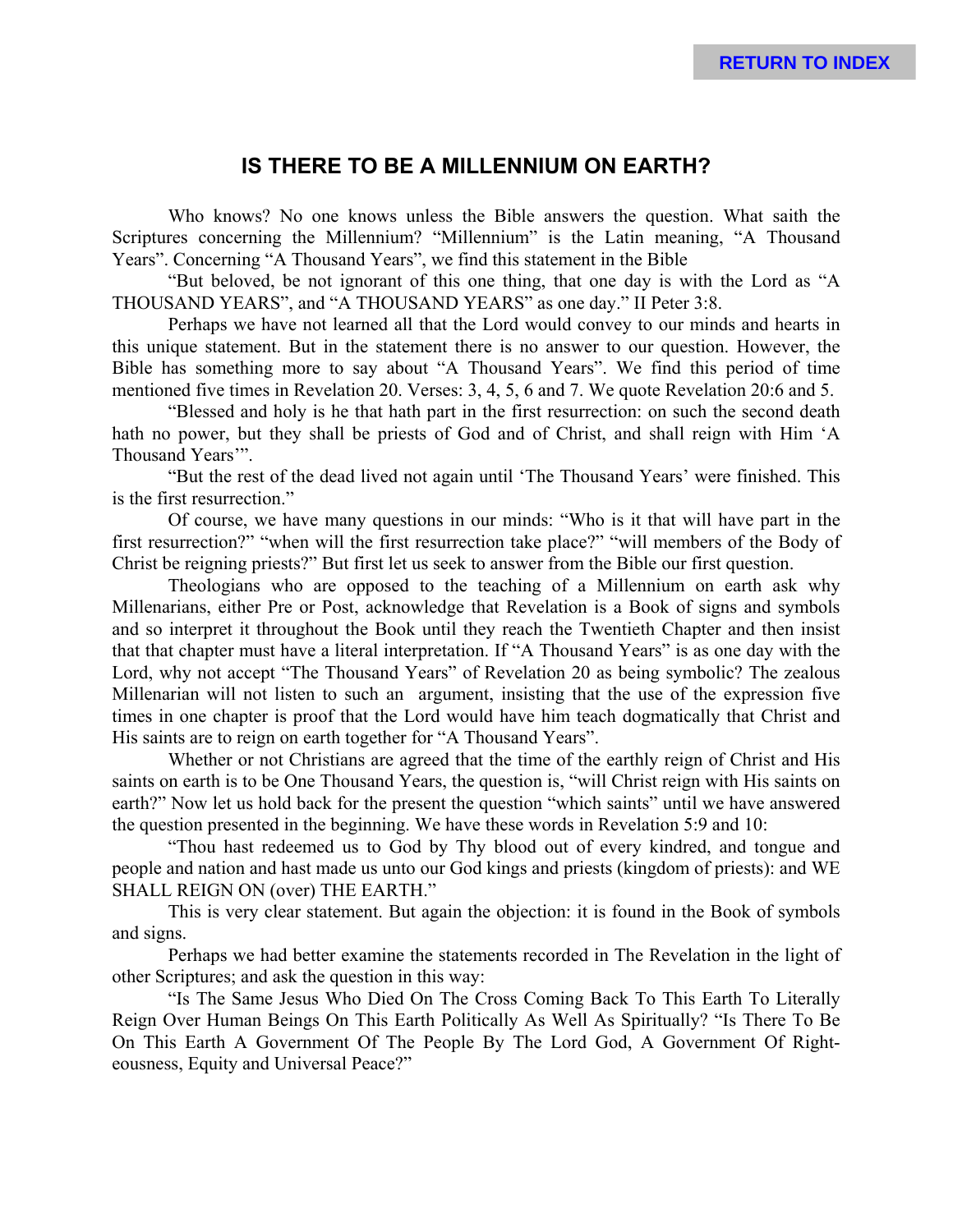### **IS THERE TO BE A MILLENNIUM ON EARTH?**

Who knows? No one knows unless the Bible answers the question. What saith the Scriptures concerning the Millennium? "Millennium" is the Latin meaning, "A Thousand Years". Concerning "A Thousand Years", we find this statement in the Bible

"But beloved, be not ignorant of this one thing, that one day is with the Lord as "A THOUSAND YEARS", and "A THOUSAND YEARS" as one day." II Peter 3:8.

Perhaps we have not learned all that the Lord would convey to our minds and hearts in this unique statement. But in the statement there is no answer to our question. However, the Bible has something more to say about "A Thousand Years". We find this period of time mentioned five times in Revelation 20. Verses: 3, 4, 5, 6 and 7. We quote Revelation 20:6 and 5.

"Blessed and holy is he that hath part in the first resurrection: on such the second death hath no power, but they shall be priests of God and of Christ, and shall reign with Him 'A Thousand Years'".

"But the rest of the dead lived not again until 'The Thousand Years' were finished. This is the first resurrection."

Of course, we have many questions in our minds: "Who is it that will have part in the first resurrection?" "when will the first resurrection take place?" "will members of the Body of Christ be reigning priests?" But first let us seek to answer from the Bible our first question.

Theologians who are opposed to the teaching of a Millennium on earth ask why Millenarians, either Pre or Post, acknowledge that Revelation is a Book of signs and symbols and so interpret it throughout the Book until they reach the Twentieth Chapter and then insist that that chapter must have a literal interpretation. If "A Thousand Years" is as one day with the Lord, why not accept "The Thousand Years" of Revelation 20 as being symbolic? The zealous Millenarian will not listen to such an argument, insisting that the use of the expression five times in one chapter is proof that the Lord would have him teach dogmatically that Christ and His saints are to reign on earth together for "A Thousand Years".

Whether or not Christians are agreed that the time of the earthly reign of Christ and His saints on earth is to be One Thousand Years, the question is, "will Christ reign with His saints on earth?" Now let us hold back for the present the question "which saints" until we have answered the question presented in the beginning. We have these words in Revelation 5:9 and 10:

"Thou hast redeemed us to God by Thy blood out of every kindred, and tongue and people and nation and hast made us unto our God kings and priests (kingdom of priests): and WE SHALL REIGN ON (over) THE EARTH."

This is very clear statement. But again the objection: it is found in the Book of symbols and signs.

Perhaps we had better examine the statements recorded in The Revelation in the light of other Scriptures; and ask the question in this way:

"Is The Same Jesus Who Died On The Cross Coming Back To This Earth To Literally Reign Over Human Beings On This Earth Politically As Well As Spiritually? "Is There To Be On This Earth A Government Of The People By The Lord God, A Government Of Righteousness, Equity and Universal Peace?"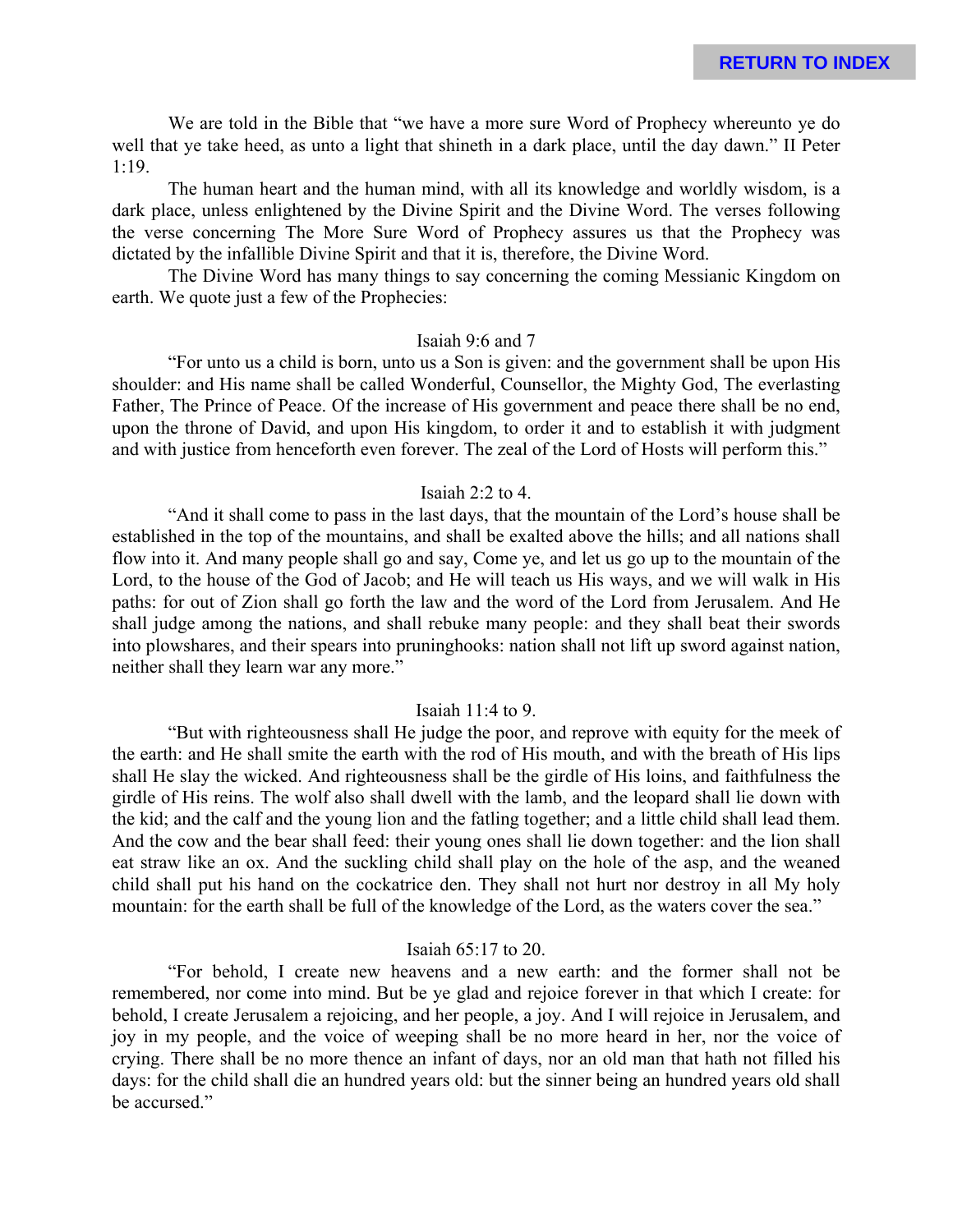We are told in the Bible that "we have a more sure Word of Prophecy whereunto ye do well that ye take heed, as unto a light that shineth in a dark place, until the day dawn." II Peter 1:19.

The human heart and the human mind, with all its knowledge and worldly wisdom, is a dark place, unless enlightened by the Divine Spirit and the Divine Word. The verses following the verse concerning The More Sure Word of Prophecy assures us that the Prophecy was dictated by the infallible Divine Spirit and that it is, therefore, the Divine Word.

The Divine Word has many things to say concerning the coming Messianic Kingdom on earth. We quote just a few of the Prophecies:

#### Isaiah 9:6 and 7

"For unto us a child is born, unto us a Son is given: and the government shall be upon His shoulder: and His name shall be called Wonderful, Counsellor, the Mighty God, The everlasting Father, The Prince of Peace. Of the increase of His government and peace there shall be no end, upon the throne of David, and upon His kingdom, to order it and to establish it with judgment and with justice from henceforth even forever. The zeal of the Lord of Hosts will perform this."

#### Isaiah  $2 \cdot 2$  to 4.

"And it shall come to pass in the last days, that the mountain of the Lord's house shall be established in the top of the mountains, and shall be exalted above the hills; and all nations shall flow into it. And many people shall go and say, Come ye, and let us go up to the mountain of the Lord, to the house of the God of Jacob; and He will teach us His ways, and we will walk in His paths: for out of Zion shall go forth the law and the word of the Lord from Jerusalem. And He shall judge among the nations, and shall rebuke many people: and they shall beat their swords into plowshares, and their spears into pruninghooks: nation shall not lift up sword against nation, neither shall they learn war any more."

#### Isaiah 11:4 to 9.

"But with righteousness shall He judge the poor, and reprove with equity for the meek of the earth: and He shall smite the earth with the rod of His mouth, and with the breath of His lips shall He slay the wicked. And righteousness shall be the girdle of His loins, and faithfulness the girdle of His reins. The wolf also shall dwell with the lamb, and the leopard shall lie down with the kid; and the calf and the young lion and the fatling together; and a little child shall lead them. And the cow and the bear shall feed: their young ones shall lie down together: and the lion shall eat straw like an ox. And the suckling child shall play on the hole of the asp, and the weaned child shall put his hand on the cockatrice den. They shall not hurt nor destroy in all My holy mountain: for the earth shall be full of the knowledge of the Lord, as the waters cover the sea."

#### Isaiah 65:17 to 20.

"For behold, I create new heavens and a new earth: and the former shall not be remembered, nor come into mind. But be ye glad and rejoice forever in that which I create: for behold, I create Jerusalem a rejoicing, and her people, a joy. And I will rejoice in Jerusalem, and joy in my people, and the voice of weeping shall be no more heard in her, nor the voice of crying. There shall be no more thence an infant of days, nor an old man that hath not filled his days: for the child shall die an hundred years old: but the sinner being an hundred years old shall be accursed."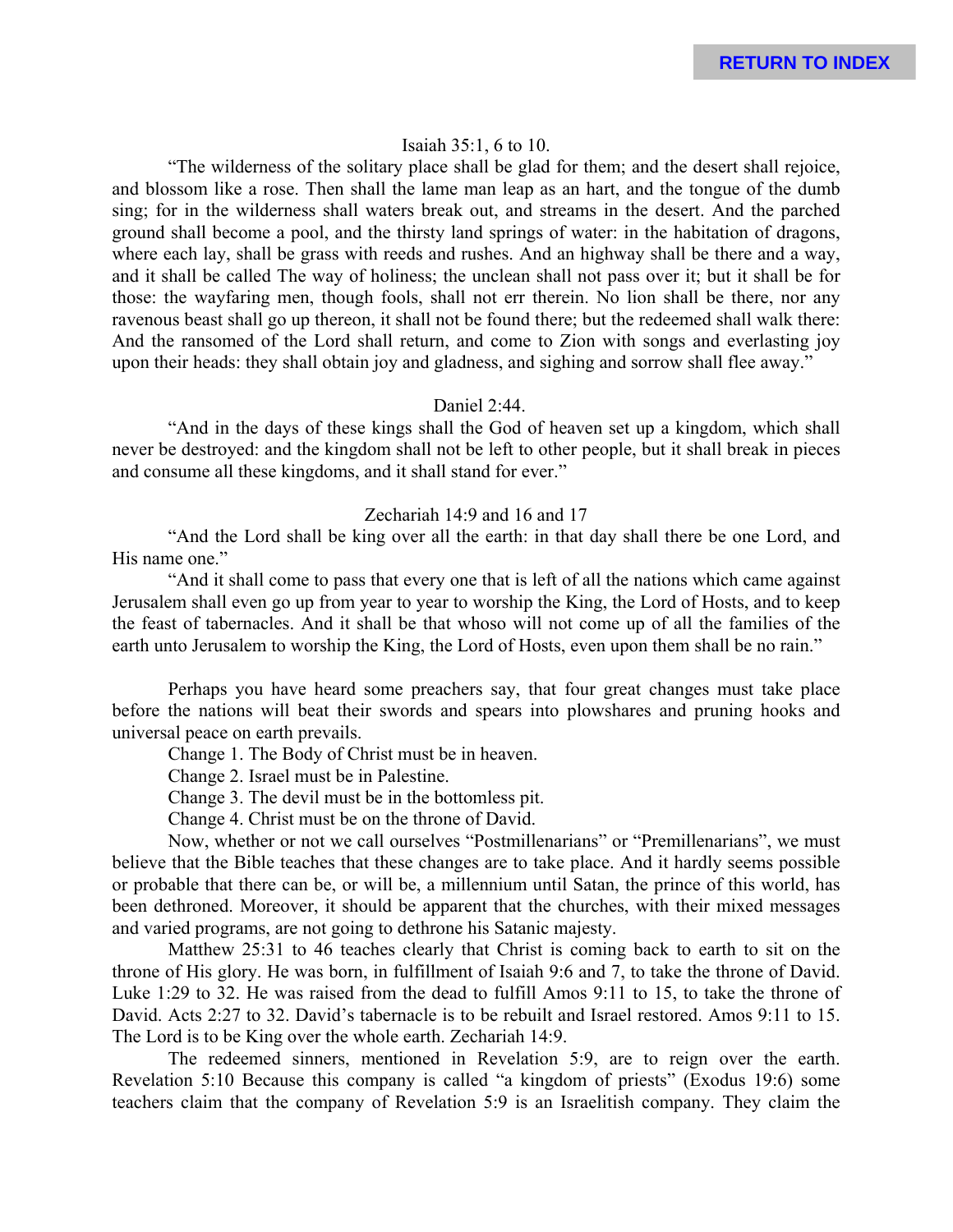#### Isaiah 35:1, 6 to 10.

"The wilderness of the solitary place shall be glad for them; and the desert shall rejoice, and blossom like a rose. Then shall the lame man leap as an hart, and the tongue of the dumb sing; for in the wilderness shall waters break out, and streams in the desert. And the parched ground shall become a pool, and the thirsty land springs of water: in the habitation of dragons, where each lay, shall be grass with reeds and rushes. And an highway shall be there and a way, and it shall be called The way of holiness; the unclean shall not pass over it; but it shall be for those: the wayfaring men, though fools, shall not err therein. No lion shall be there, nor any ravenous beast shall go up thereon, it shall not be found there; but the redeemed shall walk there: And the ransomed of the Lord shall return, and come to Zion with songs and everlasting joy upon their heads: they shall obtain joy and gladness, and sighing and sorrow shall flee away."

#### Daniel 2:44.

"And in the days of these kings shall the God of heaven set up a kingdom, which shall never be destroyed: and the kingdom shall not be left to other people, but it shall break in pieces and consume all these kingdoms, and it shall stand for ever."

#### Zechariah 14:9 and 16 and 17

"And the Lord shall be king over all the earth: in that day shall there be one Lord, and His name one."

"And it shall come to pass that every one that is left of all the nations which came against Jerusalem shall even go up from year to year to worship the King, the Lord of Hosts, and to keep the feast of tabernacles. And it shall be that whoso will not come up of all the families of the earth unto Jerusalem to worship the King, the Lord of Hosts, even upon them shall be no rain."

Perhaps you have heard some preachers say, that four great changes must take place before the nations will beat their swords and spears into plowshares and pruning hooks and universal peace on earth prevails.

Change 1. The Body of Christ must be in heaven.

Change 2. Israel must be in Palestine.

Change 3. The devil must be in the bottomless pit.

Change 4. Christ must be on the throne of David.

Now, whether or not we call ourselves "Postmillenarians" or "Premillenarians", we must believe that the Bible teaches that these changes are to take place. And it hardly seems possible or probable that there can be, or will be, a millennium until Satan, the prince of this world, has been dethroned. Moreover, it should be apparent that the churches, with their mixed messages and varied programs, are not going to dethrone his Satanic majesty.

Matthew 25:31 to 46 teaches clearly that Christ is coming back to earth to sit on the throne of His glory. He was born, in fulfillment of Isaiah 9:6 and 7, to take the throne of David. Luke 1:29 to 32. He was raised from the dead to fulfill Amos 9:11 to 15, to take the throne of David. Acts 2:27 to 32. David's tabernacle is to be rebuilt and Israel restored. Amos 9:11 to 15. The Lord is to be King over the whole earth. Zechariah 14:9.

The redeemed sinners, mentioned in Revelation 5:9, are to reign over the earth. Revelation 5:10 Because this company is called "a kingdom of priests" (Exodus 19:6) some teachers claim that the company of Revelation 5:9 is an Israelitish company. They claim the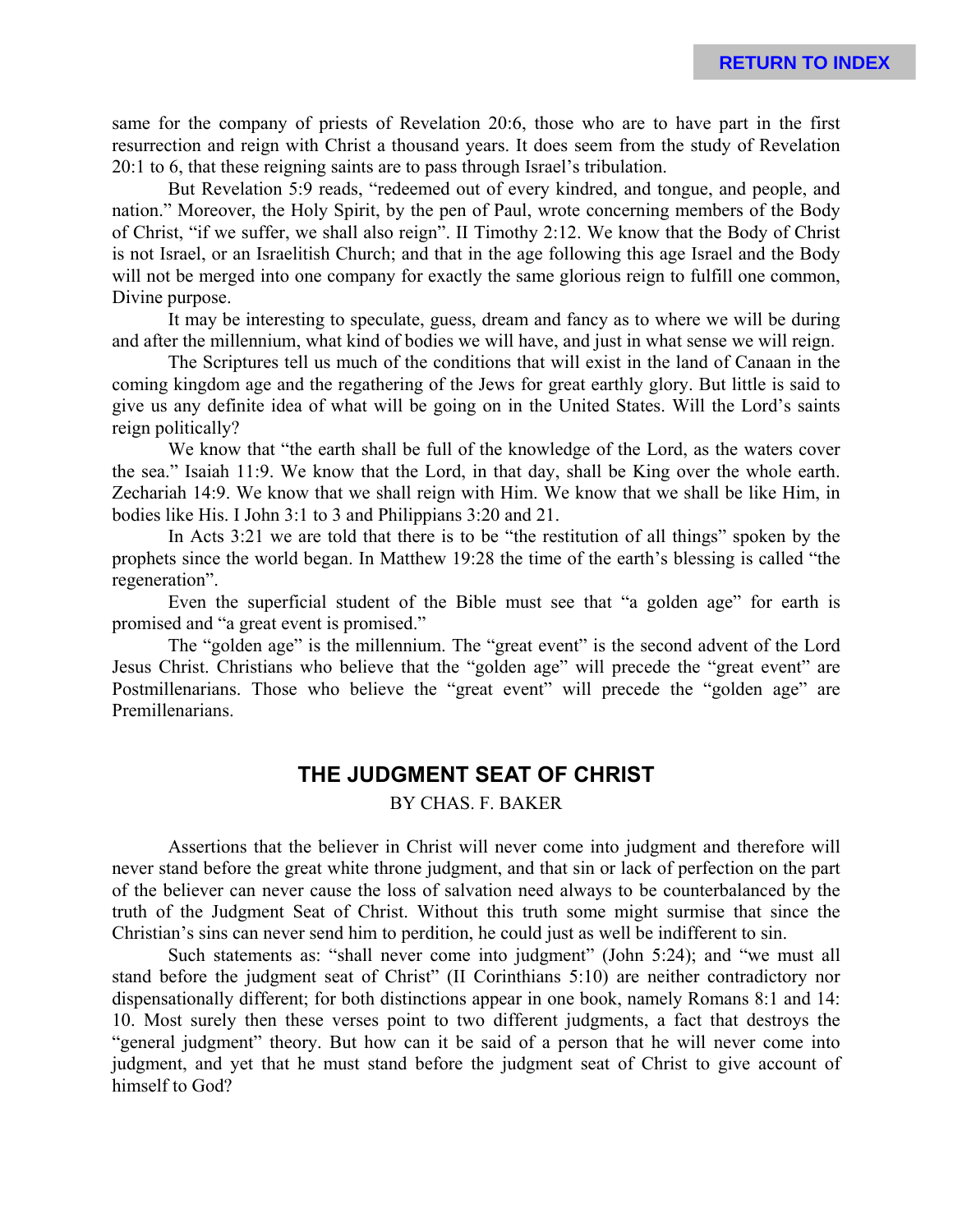same for the company of priests of Revelation 20:6, those who are to have part in the first resurrection and reign with Christ a thousand years. It does seem from the study of Revelation 20:1 to 6, that these reigning saints are to pass through Israel's tribulation.

But Revelation 5:9 reads, "redeemed out of every kindred, and tongue, and people, and nation." Moreover, the Holy Spirit, by the pen of Paul, wrote concerning members of the Body of Christ, "if we suffer, we shall also reign". II Timothy 2:12. We know that the Body of Christ is not Israel, or an Israelitish Church; and that in the age following this age Israel and the Body will not be merged into one company for exactly the same glorious reign to fulfill one common, Divine purpose.

It may be interesting to speculate, guess, dream and fancy as to where we will be during and after the millennium, what kind of bodies we will have, and just in what sense we will reign.

The Scriptures tell us much of the conditions that will exist in the land of Canaan in the coming kingdom age and the regathering of the Jews for great earthly glory. But little is said to give us any definite idea of what will be going on in the United States. Will the Lord's saints reign politically?

We know that "the earth shall be full of the knowledge of the Lord, as the waters cover the sea." Isaiah 11:9. We know that the Lord, in that day, shall be King over the whole earth. Zechariah 14:9. We know that we shall reign with Him. We know that we shall be like Him, in bodies like His. I John 3:1 to 3 and Philippians 3:20 and 21.

In Acts 3:21 we are told that there is to be "the restitution of all things" spoken by the prophets since the world began. In Matthew 19:28 the time of the earth's blessing is called "the regeneration".

Even the superficial student of the Bible must see that "a golden age" for earth is promised and "a great event is promised."

The "golden age" is the millennium. The "great event" is the second advent of the Lord Jesus Christ. Christians who believe that the "golden age" will precede the "great event" are Postmillenarians. Those who believe the "great event" will precede the "golden age" are Premillenarians.

### **THE JUDGMENT SEAT OF CHRIST**

BY CHAS. F. BAKER

Assertions that the believer in Christ will never come into judgment and therefore will never stand before the great white throne judgment, and that sin or lack of perfection on the part of the believer can never cause the loss of salvation need always to be counterbalanced by the truth of the Judgment Seat of Christ. Without this truth some might surmise that since the Christian's sins can never send him to perdition, he could just as well be indifferent to sin.

Such statements as: "shall never come into judgment" (John 5:24); and "we must all stand before the judgment seat of Christ" (II Corinthians 5:10) are neither contradictory nor dispensationally different; for both distinctions appear in one book, namely Romans 8:1 and 14: 10. Most surely then these verses point to two different judgments, a fact that destroys the "general judgment" theory. But how can it be said of a person that he will never come into judgment, and yet that he must stand before the judgment seat of Christ to give account of himself to God?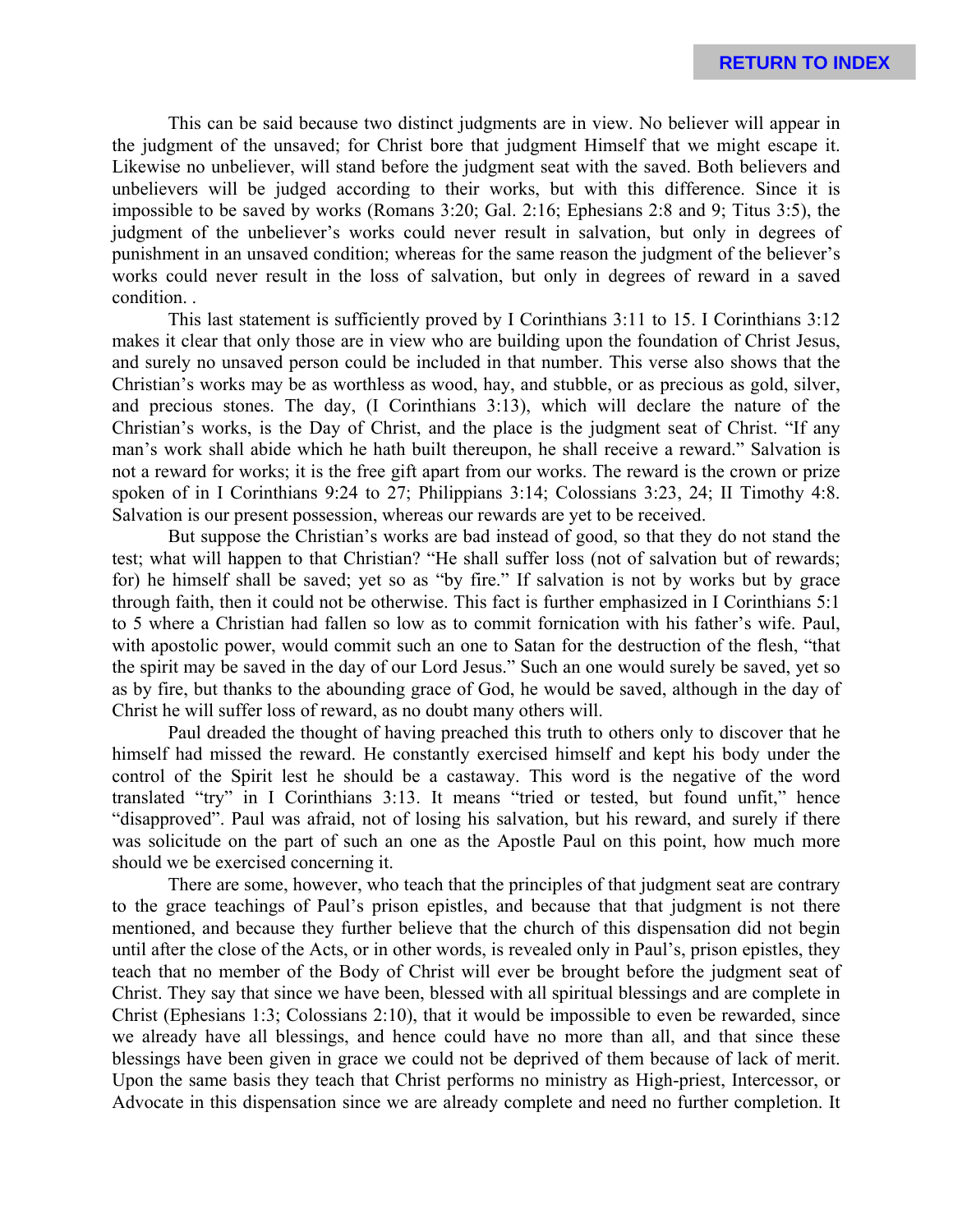This can be said because two distinct judgments are in view. No believer will appear in the judgment of the unsaved; for Christ bore that judgment Himself that we might escape it. Likewise no unbeliever, will stand before the judgment seat with the saved. Both believers and unbelievers will be judged according to their works, but with this difference. Since it is impossible to be saved by works (Romans 3:20; Gal. 2:16; Ephesians 2:8 and 9; Titus 3:5), the judgment of the unbeliever's works could never result in salvation, but only in degrees of punishment in an unsaved condition; whereas for the same reason the judgment of the believer's works could never result in the loss of salvation, but only in degrees of reward in a saved condition. .

This last statement is sufficiently proved by I Corinthians 3:11 to 15. I Corinthians 3:12 makes it clear that only those are in view who are building upon the foundation of Christ Jesus, and surely no unsaved person could be included in that number. This verse also shows that the Christian's works may be as worthless as wood, hay, and stubble, or as precious as gold, silver, and precious stones. The day, (I Corinthians 3:13), which will declare the nature of the Christian's works, is the Day of Christ, and the place is the judgment seat of Christ. "If any man's work shall abide which he hath built thereupon, he shall receive a reward." Salvation is not a reward for works; it is the free gift apart from our works. The reward is the crown or prize spoken of in I Corinthians 9:24 to 27; Philippians 3:14; Colossians 3:23, 24; II Timothy 4:8. Salvation is our present possession, whereas our rewards are yet to be received.

But suppose the Christian's works are bad instead of good, so that they do not stand the test; what will happen to that Christian? "He shall suffer loss (not of salvation but of rewards; for) he himself shall be saved; yet so as "by fire." If salvation is not by works but by grace through faith, then it could not be otherwise. This fact is further emphasized in I Corinthians 5:1 to 5 where a Christian had fallen so low as to commit fornication with his father's wife. Paul, with apostolic power, would commit such an one to Satan for the destruction of the flesh, "that the spirit may be saved in the day of our Lord Jesus." Such an one would surely be saved, yet so as by fire, but thanks to the abounding grace of God, he would be saved, although in the day of Christ he will suffer loss of reward, as no doubt many others will.

Paul dreaded the thought of having preached this truth to others only to discover that he himself had missed the reward. He constantly exercised himself and kept his body under the control of the Spirit lest he should be a castaway. This word is the negative of the word translated "try" in I Corinthians 3:13. It means "tried or tested, but found unfit," hence "disapproved". Paul was afraid, not of losing his salvation, but his reward, and surely if there was solicitude on the part of such an one as the Apostle Paul on this point, how much more should we be exercised concerning it.

There are some, however, who teach that the principles of that judgment seat are contrary to the grace teachings of Paul's prison epistles, and because that that judgment is not there mentioned, and because they further believe that the church of this dispensation did not begin until after the close of the Acts, or in other words, is revealed only in Paul's, prison epistles, they teach that no member of the Body of Christ will ever be brought before the judgment seat of Christ. They say that since we have been, blessed with all spiritual blessings and are complete in Christ (Ephesians 1:3; Colossians 2:10), that it would be impossible to even be rewarded, since we already have all blessings, and hence could have no more than all, and that since these blessings have been given in grace we could not be deprived of them because of lack of merit. Upon the same basis they teach that Christ performs no ministry as High-priest, Intercessor, or Advocate in this dispensation since we are already complete and need no further completion. It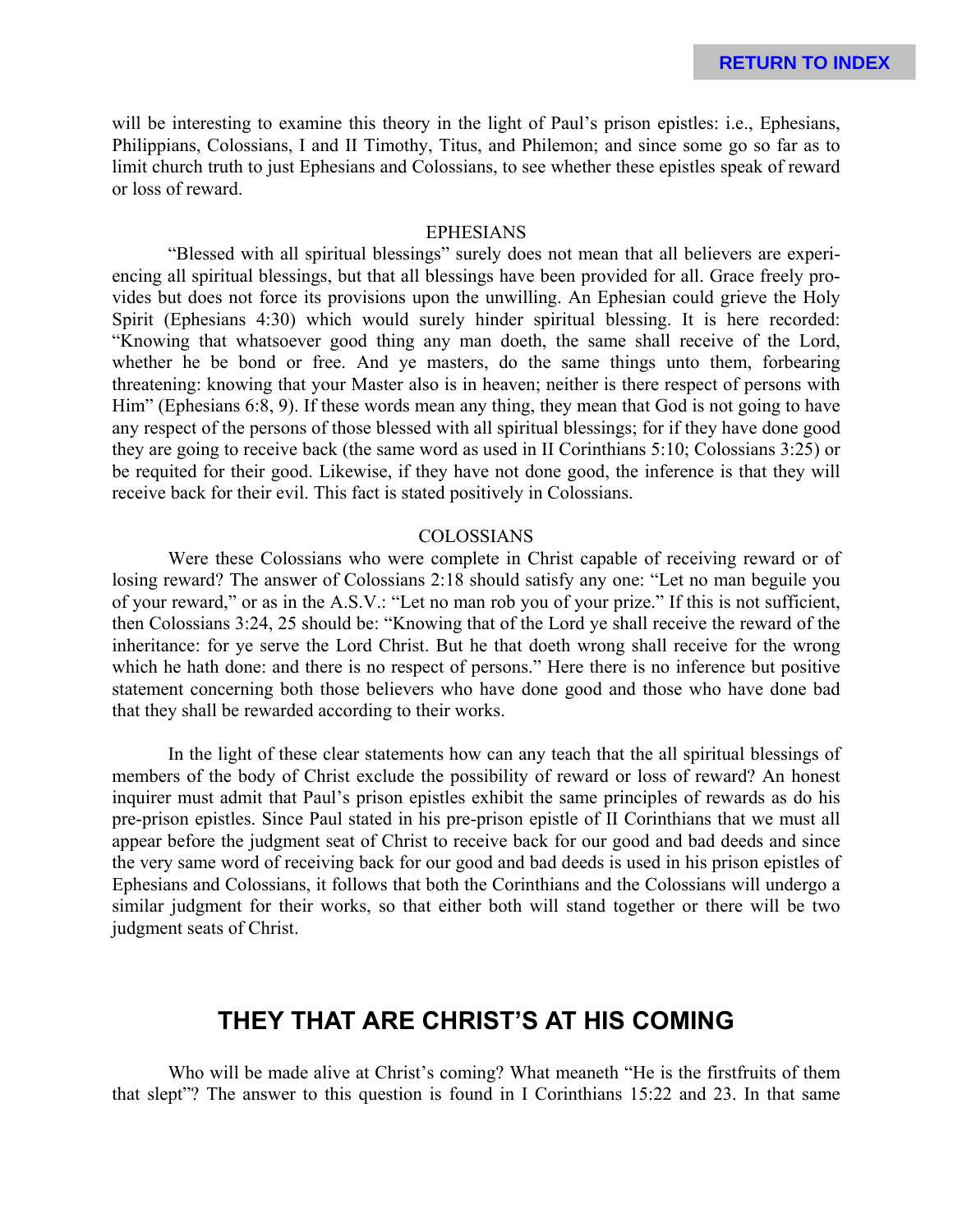will be interesting to examine this theory in the light of Paul's prison epistles: i.e., Ephesians, Philippians, Colossians, I and II Timothy, Titus, and Philemon; and since some go so far as to limit church truth to just Ephesians and Colossians, to see whether these epistles speak of reward or loss of reward.

### EPHESIANS

"Blessed with all spiritual blessings" surely does not mean that all believers are experiencing all spiritual blessings, but that all blessings have been provided for all. Grace freely provides but does not force its provisions upon the unwilling. An Ephesian could grieve the Holy Spirit (Ephesians 4:30) which would surely hinder spiritual blessing. It is here recorded: "Knowing that whatsoever good thing any man doeth, the same shall receive of the Lord, whether he be bond or free. And ye masters, do the same things unto them, forbearing threatening: knowing that your Master also is in heaven; neither is there respect of persons with Him" (Ephesians 6:8, 9). If these words mean any thing, they mean that God is not going to have any respect of the persons of those blessed with all spiritual blessings; for if they have done good they are going to receive back (the same word as used in II Corinthians 5:10; Colossians 3:25) or be requited for their good. Likewise, if they have not done good, the inference is that they will receive back for their evil. This fact is stated positively in Colossians.

#### COLOSSIANS

Were these Colossians who were complete in Christ capable of receiving reward or of losing reward? The answer of Colossians 2:18 should satisfy any one: "Let no man beguile you of your reward," or as in the A.S.V.: "Let no man rob you of your prize." If this is not sufficient, then Colossians 3:24, 25 should be: "Knowing that of the Lord ye shall receive the reward of the inheritance: for ye serve the Lord Christ. But he that doeth wrong shall receive for the wrong which he hath done: and there is no respect of persons." Here there is no inference but positive statement concerning both those believers who have done good and those who have done bad that they shall be rewarded according to their works.

In the light of these clear statements how can any teach that the all spiritual blessings of members of the body of Christ exclude the possibility of reward or loss of reward? An honest inquirer must admit that Paul's prison epistles exhibit the same principles of rewards as do his pre-prison epistles. Since Paul stated in his pre-prison epistle of II Corinthians that we must all appear before the judgment seat of Christ to receive back for our good and bad deeds and since the very same word of receiving back for our good and bad deeds is used in his prison epistles of Ephesians and Colossians, it follows that both the Corinthians and the Colossians will undergo a similar judgment for their works, so that either both will stand together or there will be two judgment seats of Christ.

## **THEY THAT ARE CHRIST'S AT HIS COMING**

Who will be made alive at Christ's coming? What meaneth "He is the firstfruits of them that slept"? The answer to this question is found in I Corinthians 15:22 and 23. In that same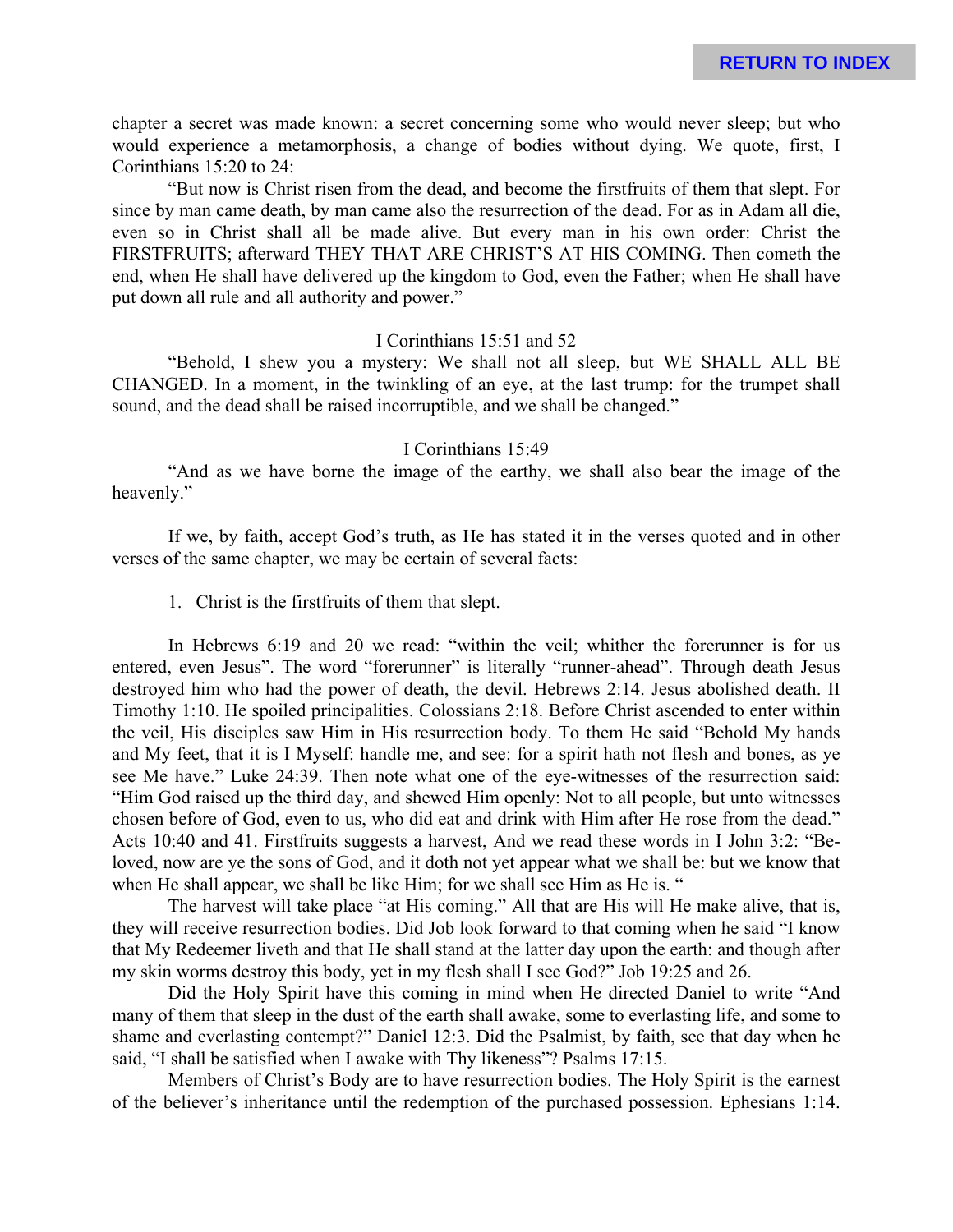chapter a secret was made known: a secret concerning some who would never sleep; but who would experience a metamorphosis, a change of bodies without dying. We quote, first, I Corinthians 15:20 to 24:

"But now is Christ risen from the dead, and become the firstfruits of them that slept. For since by man came death, by man came also the resurrection of the dead. For as in Adam all die, even so in Christ shall all be made alive. But every man in his own order: Christ the FIRSTFRUITS; afterward THEY THAT ARE CHRIST'S AT HIS COMING. Then cometh the end, when He shall have delivered up the kingdom to God, even the Father; when He shall have put down all rule and all authority and power."

#### I Corinthians 15:51 and 52

"Behold, I shew you a mystery: We shall not all sleep, but WE SHALL ALL BE CHANGED. In a moment, in the twinkling of an eye, at the last trump: for the trumpet shall sound, and the dead shall be raised incorruptible, and we shall be changed."

#### I Corinthians 15:49

"And as we have borne the image of the earthy, we shall also bear the image of the heavenly."

If we, by faith, accept God's truth, as He has stated it in the verses quoted and in other verses of the same chapter, we may be certain of several facts:

1. Christ is the firstfruits of them that slept.

In Hebrews 6:19 and 20 we read: "within the veil; whither the forerunner is for us entered, even Jesus". The word "forerunner" is literally "runner-ahead". Through death Jesus destroyed him who had the power of death, the devil. Hebrews 2:14. Jesus abolished death. II Timothy 1:10. He spoiled principalities. Colossians 2:18. Before Christ ascended to enter within the veil, His disciples saw Him in His resurrection body. To them He said "Behold My hands and My feet, that it is I Myself: handle me, and see: for a spirit hath not flesh and bones, as ye see Me have." Luke 24:39. Then note what one of the eye-witnesses of the resurrection said: "Him God raised up the third day, and shewed Him openly: Not to all people, but unto witnesses chosen before of God, even to us, who did eat and drink with Him after He rose from the dead." Acts 10:40 and 41. Firstfruits suggests a harvest, And we read these words in I John 3:2: "Beloved, now are ye the sons of God, and it doth not yet appear what we shall be: but we know that when He shall appear, we shall be like Him; for we shall see Him as He is. "

The harvest will take place "at His coming." All that are His will He make alive, that is, they will receive resurrection bodies. Did Job look forward to that coming when he said "I know that My Redeemer liveth and that He shall stand at the latter day upon the earth: and though after my skin worms destroy this body, yet in my flesh shall I see God?" Job 19:25 and 26.

Did the Holy Spirit have this coming in mind when He directed Daniel to write "And many of them that sleep in the dust of the earth shall awake, some to everlasting life, and some to shame and everlasting contempt?" Daniel 12:3. Did the Psalmist, by faith, see that day when he said, "I shall be satisfied when I awake with Thy likeness"? Psalms 17:15.

Members of Christ's Body are to have resurrection bodies. The Holy Spirit is the earnest of the believer's inheritance until the redemption of the purchased possession. Ephesians 1:14.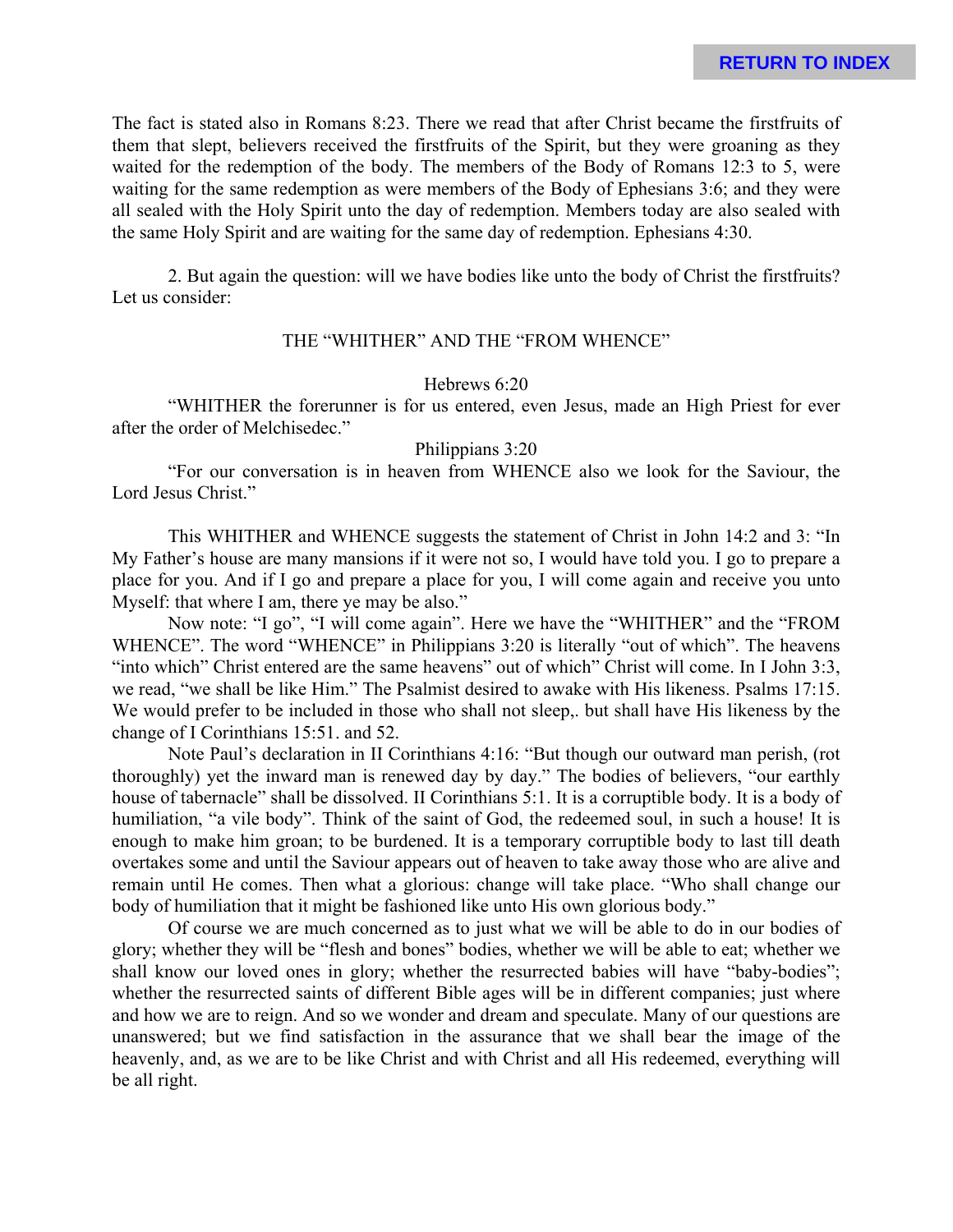The fact is stated also in Romans 8:23. There we read that after Christ became the firstfruits of them that slept, believers received the firstfruits of the Spirit, but they were groaning as they waited for the redemption of the body. The members of the Body of Romans 12:3 to 5, were waiting for the same redemption as were members of the Body of Ephesians 3:6; and they were all sealed with the Holy Spirit unto the day of redemption. Members today are also sealed with the same Holy Spirit and are waiting for the same day of redemption. Ephesians 4:30.

2. But again the question: will we have bodies like unto the body of Christ the firstfruits? Let us consider:

#### THE "WHITHER" AND THE "FROM WHENCE"

### Hebrews 6:20

"WHITHER the forerunner is for us entered, even Jesus, made an High Priest for ever after the order of Melchisedec."

### Philippians 3:20

"For our conversation is in heaven from WHENCE also we look for the Saviour, the Lord Jesus Christ."

This WHITHER and WHENCE suggests the statement of Christ in John 14:2 and 3: "In My Father's house are many mansions if it were not so, I would have told you. I go to prepare a place for you. And if I go and prepare a place for you, I will come again and receive you unto Myself: that where I am, there ye may be also."

Now note: "I go", "I will come again". Here we have the "WHITHER" and the "FROM WHENCE". The word "WHENCE" in Philippians 3:20 is literally "out of which". The heavens "into which" Christ entered are the same heavens" out of which" Christ will come. In I John 3:3, we read, "we shall be like Him." The Psalmist desired to awake with His likeness. Psalms 17:15. We would prefer to be included in those who shall not sleep,. but shall have His likeness by the change of I Corinthians 15:51. and 52.

Note Paul's declaration in II Corinthians 4:16: "But though our outward man perish, (rot thoroughly) yet the inward man is renewed day by day." The bodies of believers, "our earthly house of tabernacle" shall be dissolved. II Corinthians 5:1. It is a corruptible body. It is a body of humiliation, "a vile body". Think of the saint of God, the redeemed soul, in such a house! It is enough to make him groan; to be burdened. It is a temporary corruptible body to last till death overtakes some and until the Saviour appears out of heaven to take away those who are alive and remain until He comes. Then what a glorious: change will take place. "Who shall change our body of humiliation that it might be fashioned like unto His own glorious body."

Of course we are much concerned as to just what we will be able to do in our bodies of glory; whether they will be "flesh and bones" bodies, whether we will be able to eat; whether we shall know our loved ones in glory; whether the resurrected babies will have "baby-bodies"; whether the resurrected saints of different Bible ages will be in different companies; just where and how we are to reign. And so we wonder and dream and speculate. Many of our questions are unanswered; but we find satisfaction in the assurance that we shall bear the image of the heavenly, and, as we are to be like Christ and with Christ and all His redeemed, everything will be all right.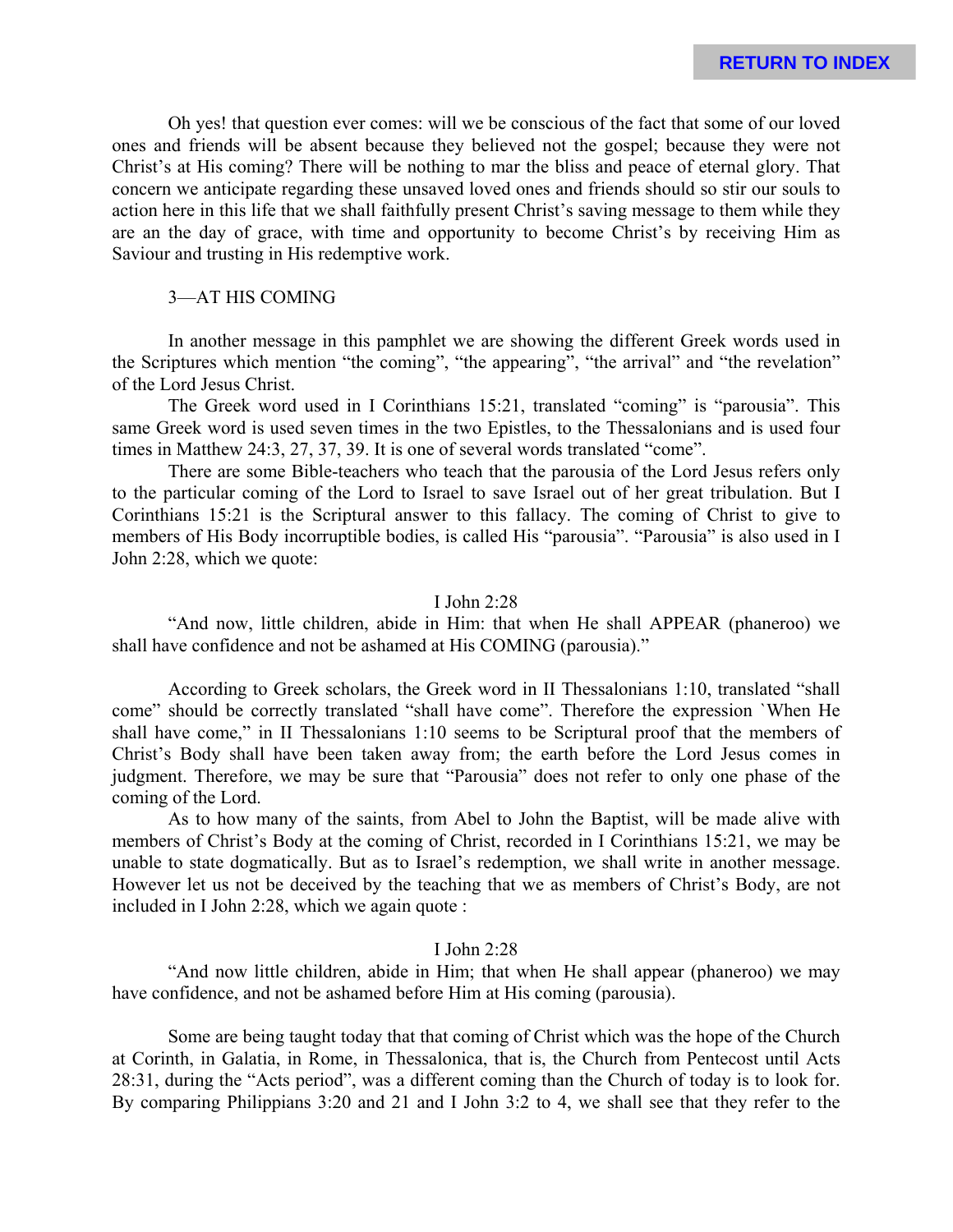Oh yes! that question ever comes: will we be conscious of the fact that some of our loved ones and friends will be absent because they believed not the gospel; because they were not Christ's at His coming? There will be nothing to mar the bliss and peace of eternal glory. That concern we anticipate regarding these unsaved loved ones and friends should so stir our souls to action here in this life that we shall faithfully present Christ's saving message to them while they are an the day of grace, with time and opportunity to become Christ's by receiving Him as Saviour and trusting in His redemptive work.

### 3—AT HIS COMING

In another message in this pamphlet we are showing the different Greek words used in the Scriptures which mention "the coming", "the appearing", "the arrival" and "the revelation" of the Lord Jesus Christ.

The Greek word used in I Corinthians 15:21, translated "coming" is "parousia". This same Greek word is used seven times in the two Epistles, to the Thessalonians and is used four times in Matthew 24:3, 27, 37, 39. It is one of several words translated "come".

There are some Bible-teachers who teach that the parousia of the Lord Jesus refers only to the particular coming of the Lord to Israel to save Israel out of her great tribulation. But I Corinthians 15:21 is the Scriptural answer to this fallacy. The coming of Christ to give to members of His Body incorruptible bodies, is called His "parousia". "Parousia" is also used in I John 2:28, which we quote:

### I John 2:28

"And now, little children, abide in Him: that when He shall APPEAR (phaneroo) we shall have confidence and not be ashamed at His COMING (parousia)."

According to Greek scholars, the Greek word in II Thessalonians 1:10, translated "shall come" should be correctly translated "shall have come". Therefore the expression `When He shall have come," in II Thessalonians 1:10 seems to be Scriptural proof that the members of Christ's Body shall have been taken away from; the earth before the Lord Jesus comes in judgment. Therefore, we may be sure that "Parousia" does not refer to only one phase of the coming of the Lord.

As to how many of the saints, from Abel to John the Baptist, will be made alive with members of Christ's Body at the coming of Christ, recorded in I Corinthians 15:21, we may be unable to state dogmatically. But as to Israel's redemption, we shall write in another message. However let us not be deceived by the teaching that we as members of Christ's Body, are not included in I John 2:28, which we again quote :

### I John 2:28

"And now little children, abide in Him; that when He shall appear (phaneroo) we may have confidence, and not be ashamed before Him at His coming (parousia).

Some are being taught today that that coming of Christ which was the hope of the Church at Corinth, in Galatia, in Rome, in Thessalonica, that is, the Church from Pentecost until Acts 28:31, during the "Acts period", was a different coming than the Church of today is to look for. By comparing Philippians 3:20 and 21 and I John 3:2 to 4, we shall see that they refer to the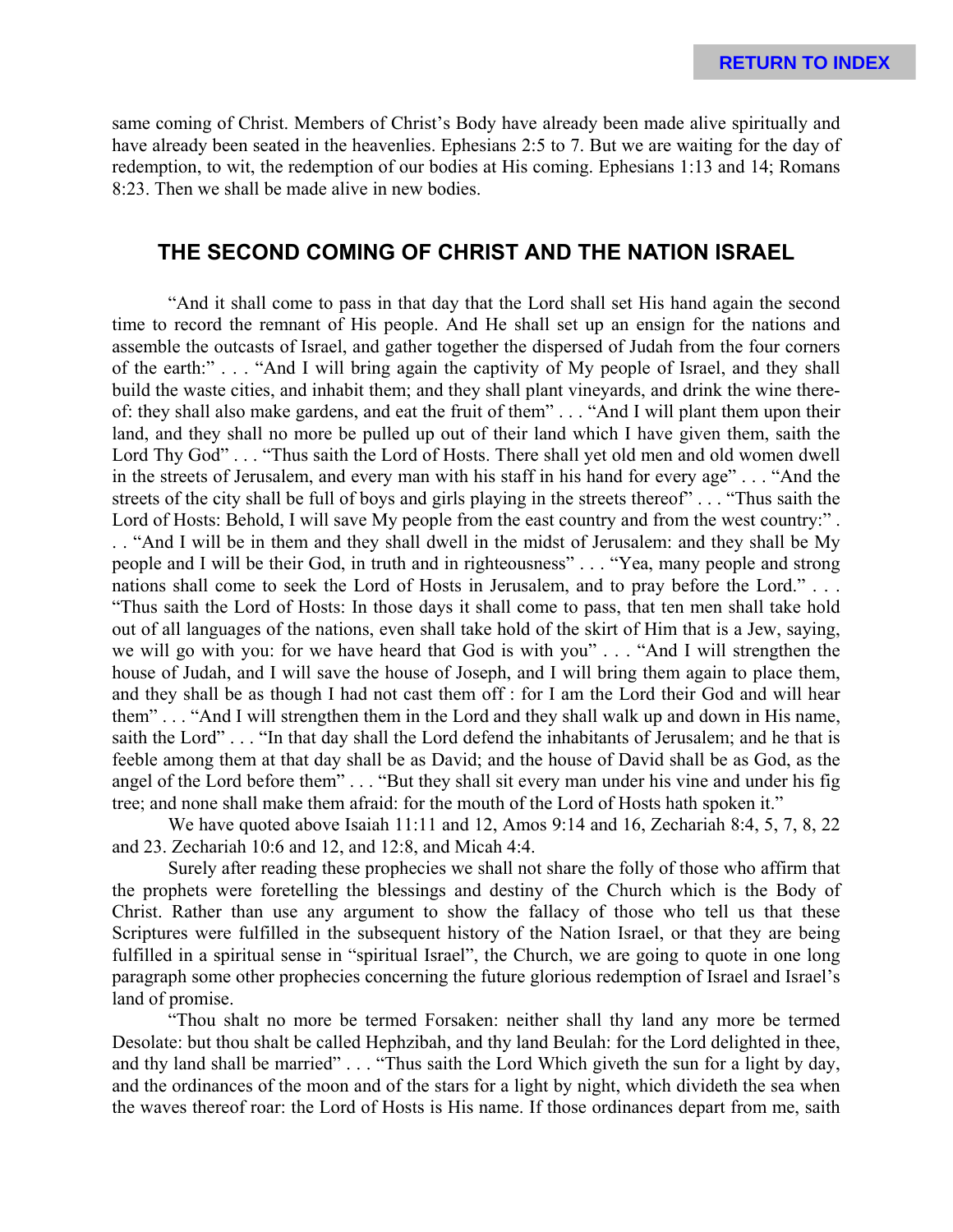same coming of Christ. Members of Christ's Body have already been made alive spiritually and have already been seated in the heavenlies. Ephesians 2:5 to 7. But we are waiting for the day of redemption, to wit, the redemption of our bodies at His coming. Ephesians 1:13 and 14; Romans 8:23. Then we shall be made alive in new bodies.

### **THE SECOND COMING OF CHRIST AND THE NATION ISRAEL**

"And it shall come to pass in that day that the Lord shall set His hand again the second time to record the remnant of His people. And He shall set up an ensign for the nations and assemble the outcasts of Israel, and gather together the dispersed of Judah from the four corners of the earth:" . . . "And I will bring again the captivity of My people of Israel, and they shall build the waste cities, and inhabit them; and they shall plant vineyards, and drink the wine thereof: they shall also make gardens, and eat the fruit of them" . . . "And I will plant them upon their land, and they shall no more be pulled up out of their land which I have given them, saith the Lord Thy God" . . . "Thus saith the Lord of Hosts. There shall yet old men and old women dwell in the streets of Jerusalem, and every man with his staff in his hand for every age" . . . "And the streets of the city shall be full of boys and girls playing in the streets thereof" . . . "Thus saith the Lord of Hosts: Behold, I will save My people from the east country and from the west country:". . . "And I will be in them and they shall dwell in the midst of Jerusalem: and they shall be My people and I will be their God, in truth and in righteousness" . . . "Yea, many people and strong nations shall come to seek the Lord of Hosts in Jerusalem, and to pray before the Lord." . . . "Thus saith the Lord of Hosts: In those days it shall come to pass, that ten men shall take hold out of all languages of the nations, even shall take hold of the skirt of Him that is a Jew, saying, we will go with you: for we have heard that God is with you" . . . "And I will strengthen the house of Judah, and I will save the house of Joseph, and I will bring them again to place them, and they shall be as though I had not cast them off : for I am the Lord their God and will hear them" . . . "And I will strengthen them in the Lord and they shall walk up and down in His name, saith the Lord" . . . "In that day shall the Lord defend the inhabitants of Jerusalem; and he that is feeble among them at that day shall be as David; and the house of David shall be as God, as the angel of the Lord before them" . . . "But they shall sit every man under his vine and under his fig tree; and none shall make them afraid: for the mouth of the Lord of Hosts hath spoken it."

We have quoted above Isaiah 11:11 and 12, Amos 9:14 and 16, Zechariah 8:4, 5, 7, 8, 22 and 23. Zechariah 10:6 and 12, and 12:8, and Micah 4:4.

Surely after reading these prophecies we shall not share the folly of those who affirm that the prophets were foretelling the blessings and destiny of the Church which is the Body of Christ. Rather than use any argument to show the fallacy of those who tell us that these Scriptures were fulfilled in the subsequent history of the Nation Israel, or that they are being fulfilled in a spiritual sense in "spiritual Israel", the Church, we are going to quote in one long paragraph some other prophecies concerning the future glorious redemption of Israel and Israel's land of promise.

"Thou shalt no more be termed Forsaken: neither shall thy land any more be termed Desolate: but thou shalt be called Hephzibah, and thy land Beulah: for the Lord delighted in thee, and thy land shall be married" . . . "Thus saith the Lord Which giveth the sun for a light by day, and the ordinances of the moon and of the stars for a light by night, which divideth the sea when the waves thereof roar: the Lord of Hosts is His name. If those ordinances depart from me, saith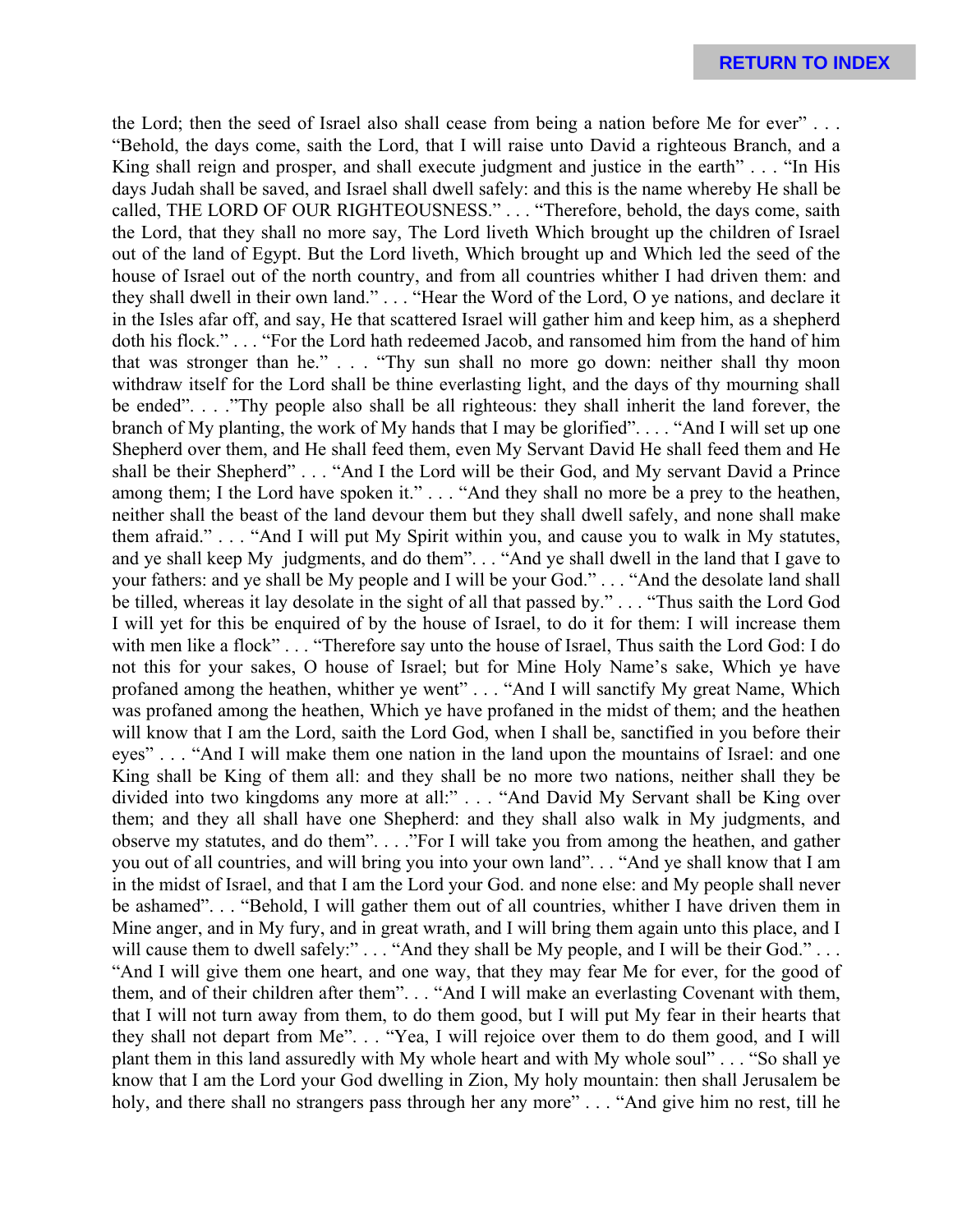the Lord; then the seed of Israel also shall cease from being a nation before Me for ever" . . . "Behold, the days come, saith the Lord, that I will raise unto David a righteous Branch, and a King shall reign and prosper, and shall execute judgment and justice in the earth" . . . "In His days Judah shall be saved, and Israel shall dwell safely: and this is the name whereby He shall be called, THE LORD OF OUR RIGHTEOUSNESS." . . . "Therefore, behold, the days come, saith the Lord, that they shall no more say, The Lord liveth Which brought up the children of Israel out of the land of Egypt. But the Lord liveth, Which brought up and Which led the seed of the house of Israel out of the north country, and from all countries whither I had driven them: and they shall dwell in their own land." . . . "Hear the Word of the Lord, O ye nations, and declare it in the Isles afar off, and say, He that scattered Israel will gather him and keep him, as a shepherd doth his flock." . . . "For the Lord hath redeemed Jacob, and ransomed him from the hand of him that was stronger than he." . . . "Thy sun shall no more go down: neither shall thy moon withdraw itself for the Lord shall be thine everlasting light, and the days of thy mourning shall be ended". . . ."Thy people also shall be all righteous: they shall inherit the land forever, the branch of My planting, the work of My hands that I may be glorified". . . . "And I will set up one Shepherd over them, and He shall feed them, even My Servant David He shall feed them and He shall be their Shepherd" . . . "And I the Lord will be their God, and My servant David a Prince among them; I the Lord have spoken it." . . . "And they shall no more be a prey to the heathen, neither shall the beast of the land devour them but they shall dwell safely, and none shall make them afraid." . . . "And I will put My Spirit within you, and cause you to walk in My statutes, and ye shall keep My judgments, and do them". . . "And ye shall dwell in the land that I gave to your fathers: and ye shall be My people and I will be your God." . . . "And the desolate land shall be tilled, whereas it lay desolate in the sight of all that passed by." . . . "Thus saith the Lord God I will yet for this be enquired of by the house of Israel, to do it for them: I will increase them with men like a flock" . . . "Therefore say unto the house of Israel, Thus saith the Lord God: I do not this for your sakes, O house of Israel; but for Mine Holy Name's sake, Which ye have profaned among the heathen, whither ye went" . . . "And I will sanctify My great Name, Which was profaned among the heathen, Which ye have profaned in the midst of them; and the heathen will know that I am the Lord, saith the Lord God, when I shall be, sanctified in you before their eyes" . . . "And I will make them one nation in the land upon the mountains of Israel: and one King shall be King of them all: and they shall be no more two nations, neither shall they be divided into two kingdoms any more at all:" . . . "And David My Servant shall be King over them; and they all shall have one Shepherd: and they shall also walk in My judgments, and observe my statutes, and do them". . . ."For I will take you from among the heathen, and gather you out of all countries, and will bring you into your own land". . . "And ye shall know that I am in the midst of Israel, and that I am the Lord your God. and none else: and My people shall never be ashamed". . . "Behold, I will gather them out of all countries, whither I have driven them in Mine anger, and in My fury, and in great wrath, and I will bring them again unto this place, and I will cause them to dwell safely:" . . . "And they shall be My people, and I will be their God." . . . "And I will give them one heart, and one way, that they may fear Me for ever, for the good of them, and of their children after them". . . "And I will make an everlasting Covenant with them, that I will not turn away from them, to do them good, but I will put My fear in their hearts that they shall not depart from Me". . . "Yea, I will rejoice over them to do them good, and I will plant them in this land assuredly with My whole heart and with My whole soul" . . . "So shall ye know that I am the Lord your God dwelling in Zion, My holy mountain: then shall Jerusalem be holy, and there shall no strangers pass through her any more" . . . "And give him no rest, till he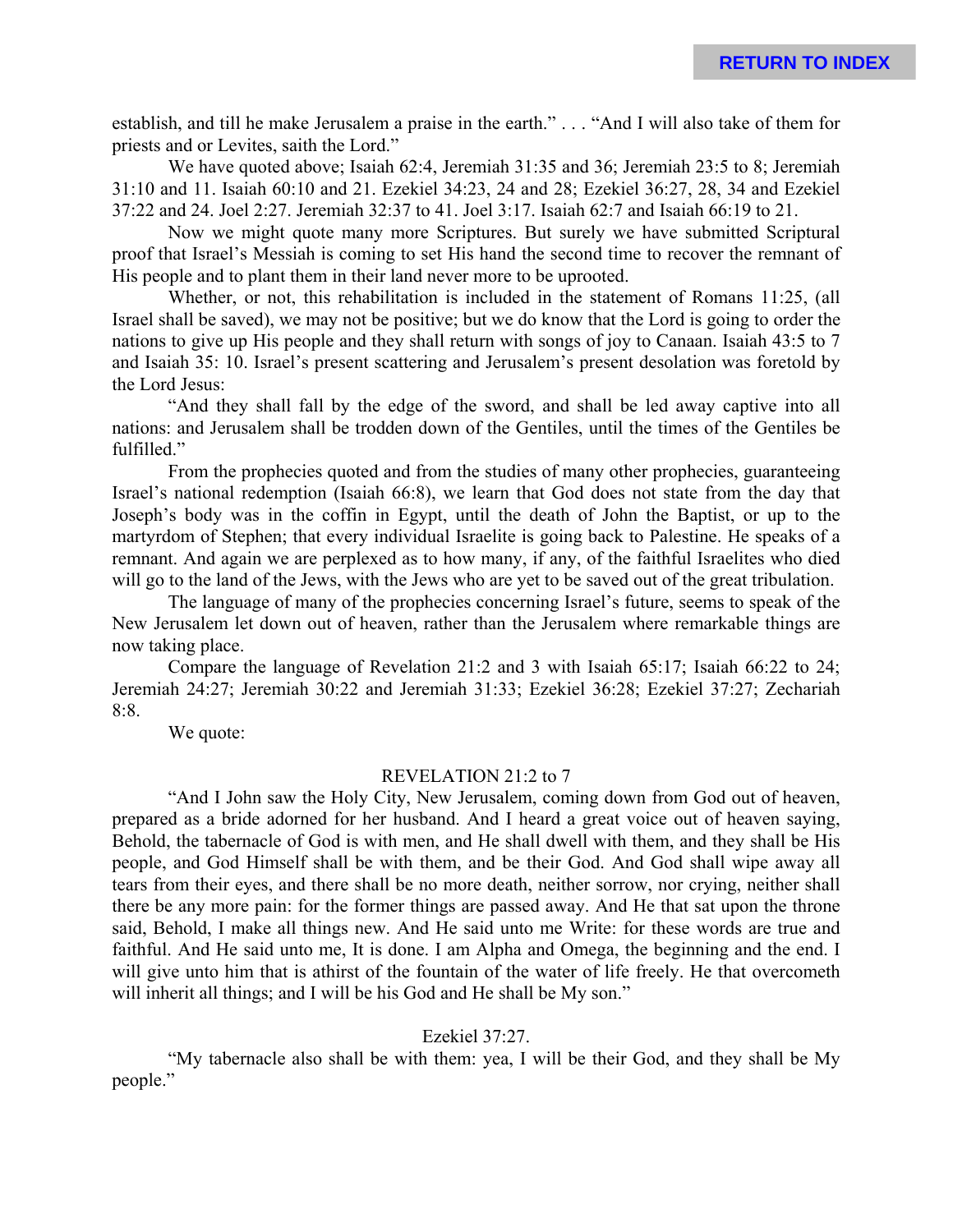establish, and till he make Jerusalem a praise in the earth." . . . "And I will also take of them for priests and or Levites, saith the Lord."

We have quoted above; Isaiah 62:4, Jeremiah 31:35 and 36; Jeremiah 23:5 to 8; Jeremiah 31:10 and 11. Isaiah 60:10 and 21. Ezekiel 34:23, 24 and 28; Ezekiel 36:27, 28, 34 and Ezekiel 37:22 and 24. Joel 2:27. Jeremiah 32:37 to 41. Joel 3:17. Isaiah 62:7 and Isaiah 66:19 to 21.

Now we might quote many more Scriptures. But surely we have submitted Scriptural proof that Israel's Messiah is coming to set His hand the second time to recover the remnant of His people and to plant them in their land never more to be uprooted.

Whether, or not, this rehabilitation is included in the statement of Romans 11:25, (all Israel shall be saved), we may not be positive; but we do know that the Lord is going to order the nations to give up His people and they shall return with songs of joy to Canaan. Isaiah 43:5 to 7 and Isaiah 35: 10. Israel's present scattering and Jerusalem's present desolation was foretold by the Lord Jesus:

"And they shall fall by the edge of the sword, and shall be led away captive into all nations: and Jerusalem shall be trodden down of the Gentiles, until the times of the Gentiles be fulfilled."

From the prophecies quoted and from the studies of many other prophecies, guaranteeing Israel's national redemption (Isaiah 66:8), we learn that God does not state from the day that Joseph's body was in the coffin in Egypt, until the death of John the Baptist, or up to the martyrdom of Stephen; that every individual Israelite is going back to Palestine. He speaks of a remnant. And again we are perplexed as to how many, if any, of the faithful Israelites who died will go to the land of the Jews, with the Jews who are yet to be saved out of the great tribulation.

The language of many of the prophecies concerning Israel's future, seems to speak of the New Jerusalem let down out of heaven, rather than the Jerusalem where remarkable things are now taking place.

Compare the language of Revelation 21:2 and 3 with Isaiah 65:17; Isaiah 66:22 to 24; Jeremiah 24:27; Jeremiah 30:22 and Jeremiah 31:33; Ezekiel 36:28; Ezekiel 37:27; Zechariah 8:8.

We quote:

#### REVELATION 21:2 to 7

"And I John saw the Holy City, New Jerusalem, coming down from God out of heaven, prepared as a bride adorned for her husband. And I heard a great voice out of heaven saying, Behold, the tabernacle of God is with men, and He shall dwell with them, and they shall be His people, and God Himself shall be with them, and be their God. And God shall wipe away all tears from their eyes, and there shall be no more death, neither sorrow, nor crying, neither shall there be any more pain: for the former things are passed away. And He that sat upon the throne said, Behold, I make all things new. And He said unto me Write: for these words are true and faithful. And He said unto me, It is done. I am Alpha and Omega, the beginning and the end. I will give unto him that is athirst of the fountain of the water of life freely. He that overcometh will inherit all things; and I will be his God and He shall be My son."

#### Ezekiel 37:27.

"My tabernacle also shall be with them: yea, I will be their God, and they shall be My people."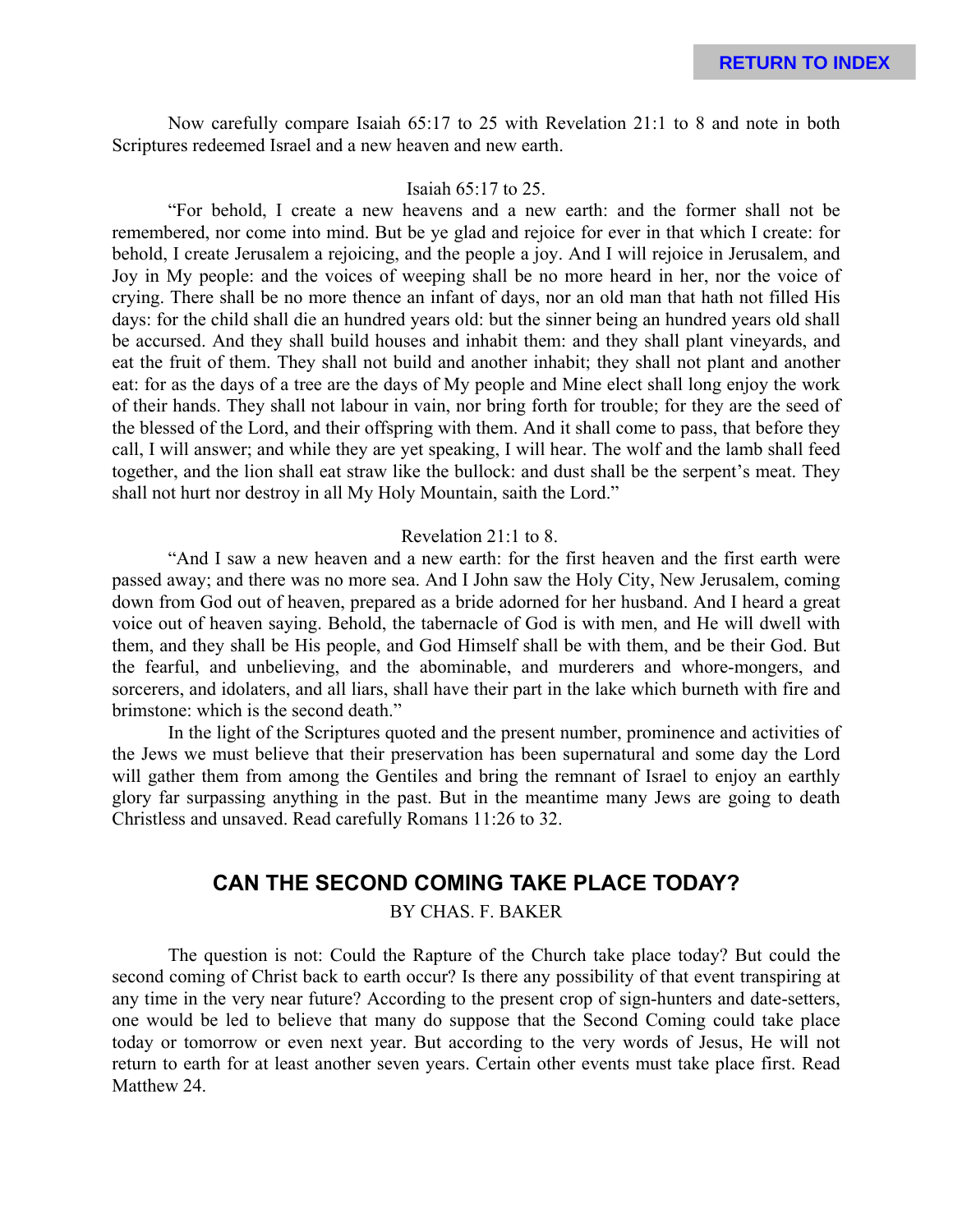Now carefully compare Isaiah 65:17 to 25 with Revelation 21:1 to 8 and note in both Scriptures redeemed Israel and a new heaven and new earth.

#### Isaiah 65:17 to 25.

"For behold, I create a new heavens and a new earth: and the former shall not be remembered, nor come into mind. But be ye glad and rejoice for ever in that which I create: for behold, I create Jerusalem a rejoicing, and the people a joy. And I will rejoice in Jerusalem, and Joy in My people: and the voices of weeping shall be no more heard in her, nor the voice of crying. There shall be no more thence an infant of days, nor an old man that hath not filled His days: for the child shall die an hundred years old: but the sinner being an hundred years old shall be accursed. And they shall build houses and inhabit them: and they shall plant vineyards, and eat the fruit of them. They shall not build and another inhabit; they shall not plant and another eat: for as the days of a tree are the days of My people and Mine elect shall long enjoy the work of their hands. They shall not labour in vain, nor bring forth for trouble; for they are the seed of the blessed of the Lord, and their offspring with them. And it shall come to pass, that before they call, I will answer; and while they are yet speaking, I will hear. The wolf and the lamb shall feed together, and the lion shall eat straw like the bullock: and dust shall be the serpent's meat. They shall not hurt nor destroy in all My Holy Mountain, saith the Lord."

#### Revelation 21:1 to 8.

"And I saw a new heaven and a new earth: for the first heaven and the first earth were passed away; and there was no more sea. And I John saw the Holy City, New Jerusalem, coming down from God out of heaven, prepared as a bride adorned for her husband. And I heard a great voice out of heaven saying. Behold, the tabernacle of God is with men, and He will dwell with them, and they shall be His people, and God Himself shall be with them, and be their God. But the fearful, and unbelieving, and the abominable, and murderers and whore-mongers, and sorcerers, and idolaters, and all liars, shall have their part in the lake which burneth with fire and brimstone: which is the second death."

In the light of the Scriptures quoted and the present number, prominence and activities of the Jews we must believe that their preservation has been supernatural and some day the Lord will gather them from among the Gentiles and bring the remnant of Israel to enjoy an earthly glory far surpassing anything in the past. But in the meantime many Jews are going to death Christless and unsaved. Read carefully Romans 11:26 to 32.

### **CAN THE SECOND COMING TAKE PLACE TODAY?**

BY CHAS. F. BAKER

The question is not: Could the Rapture of the Church take place today? But could the second coming of Christ back to earth occur? Is there any possibility of that event transpiring at any time in the very near future? According to the present crop of sign-hunters and date-setters, one would be led to believe that many do suppose that the Second Coming could take place today or tomorrow or even next year. But according to the very words of Jesus, He will not return to earth for at least another seven years. Certain other events must take place first. Read Matthew 24.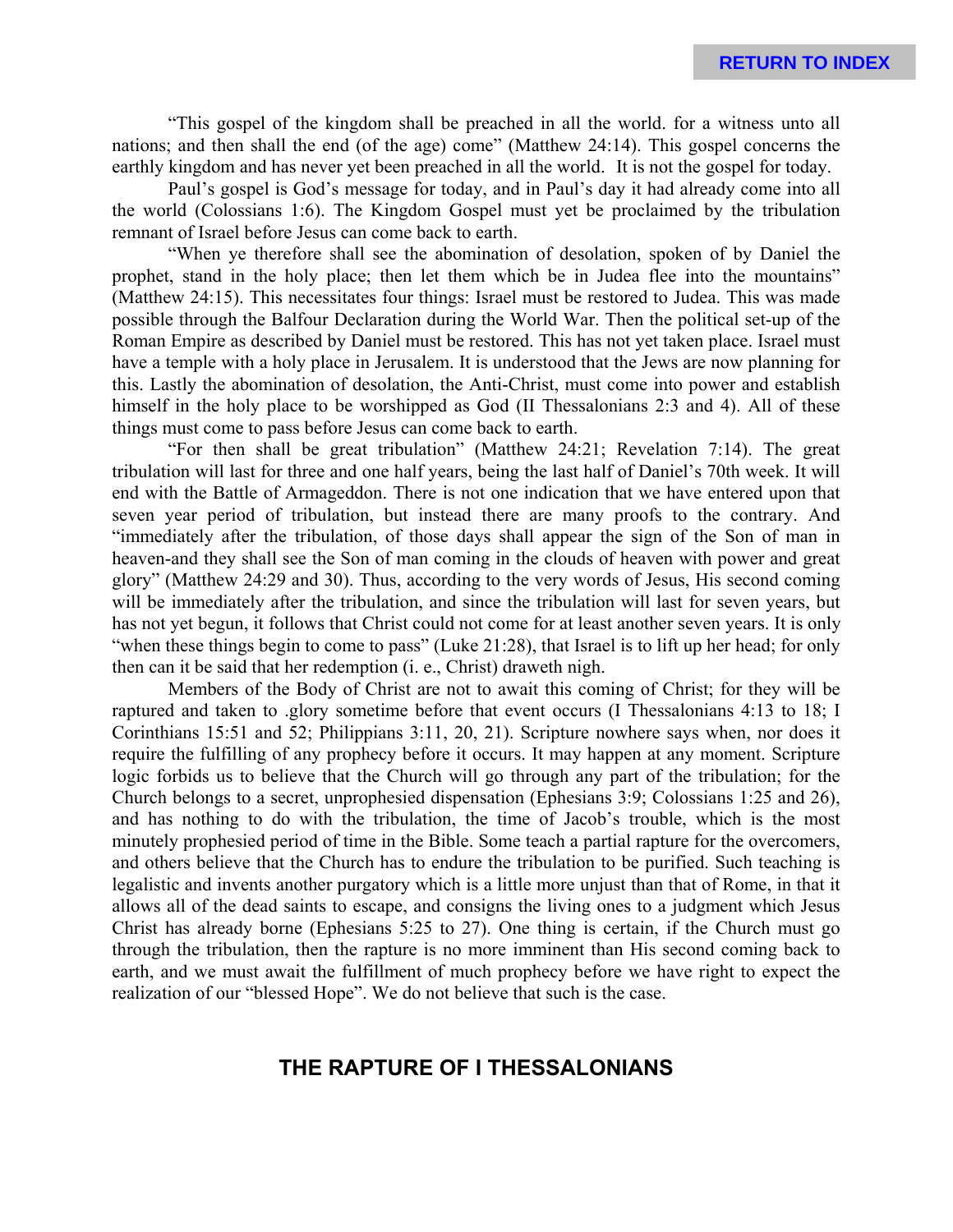"This gospel of the kingdom shall be preached in all the world. for a witness unto all nations; and then shall the end (of the age) come" (Matthew 24:14). This gospel concerns the earthly kingdom and has never yet been preached in all the world. It is not the gospel for today.

Paul's gospel is God's message for today, and in Paul's day it had already come into all the world (Colossians 1:6). The Kingdom Gospel must yet be proclaimed by the tribulation remnant of Israel before Jesus can come back to earth.

"When ye therefore shall see the abomination of desolation, spoken of by Daniel the prophet, stand in the holy place; then let them which be in Judea flee into the mountains" (Matthew 24:15). This necessitates four things: Israel must be restored to Judea. This was made possible through the Balfour Declaration during the World War. Then the political set-up of the Roman Empire as described by Daniel must be restored. This has not yet taken place. Israel must have a temple with a holy place in Jerusalem. It is understood that the Jews are now planning for this. Lastly the abomination of desolation, the Anti-Christ, must come into power and establish himself in the holy place to be worshipped as God (II Thessalonians 2:3 and 4). All of these things must come to pass before Jesus can come back to earth.

"For then shall be great tribulation" (Matthew 24:21; Revelation 7:14). The great tribulation will last for three and one half years, being the last half of Daniel's 70th week. It will end with the Battle of Armageddon. There is not one indication that we have entered upon that seven year period of tribulation, but instead there are many proofs to the contrary. And "immediately after the tribulation, of those days shall appear the sign of the Son of man in heaven-and they shall see the Son of man coming in the clouds of heaven with power and great glory" (Matthew 24:29 and 30). Thus, according to the very words of Jesus, His second coming will be immediately after the tribulation, and since the tribulation will last for seven years, but has not yet begun, it follows that Christ could not come for at least another seven years. It is only "when these things begin to come to pass" (Luke 21:28), that Israel is to lift up her head; for only then can it be said that her redemption (i. e., Christ) draweth nigh.

Members of the Body of Christ are not to await this coming of Christ; for they will be raptured and taken to .glory sometime before that event occurs (I Thessalonians 4:13 to 18; I Corinthians 15:51 and 52; Philippians 3:11, 20, 21). Scripture nowhere says when, nor does it require the fulfilling of any prophecy before it occurs. It may happen at any moment. Scripture logic forbids us to believe that the Church will go through any part of the tribulation; for the Church belongs to a secret, unprophesied dispensation (Ephesians 3:9; Colossians 1:25 and 26), and has nothing to do with the tribulation, the time of Jacob's trouble, which is the most minutely prophesied period of time in the Bible. Some teach a partial rapture for the overcomers, and others believe that the Church has to endure the tribulation to be purified. Such teaching is legalistic and invents another purgatory which is a little more unjust than that of Rome, in that it allows all of the dead saints to escape, and consigns the living ones to a judgment which Jesus Christ has already borne (Ephesians 5:25 to 27). One thing is certain, if the Church must go through the tribulation, then the rapture is no more imminent than His second coming back to earth, and we must await the fulfillment of much prophecy before we have right to expect the realization of our "blessed Hope". We do not believe that such is the case.

### **THE RAPTURE OF I THESSALONIANS**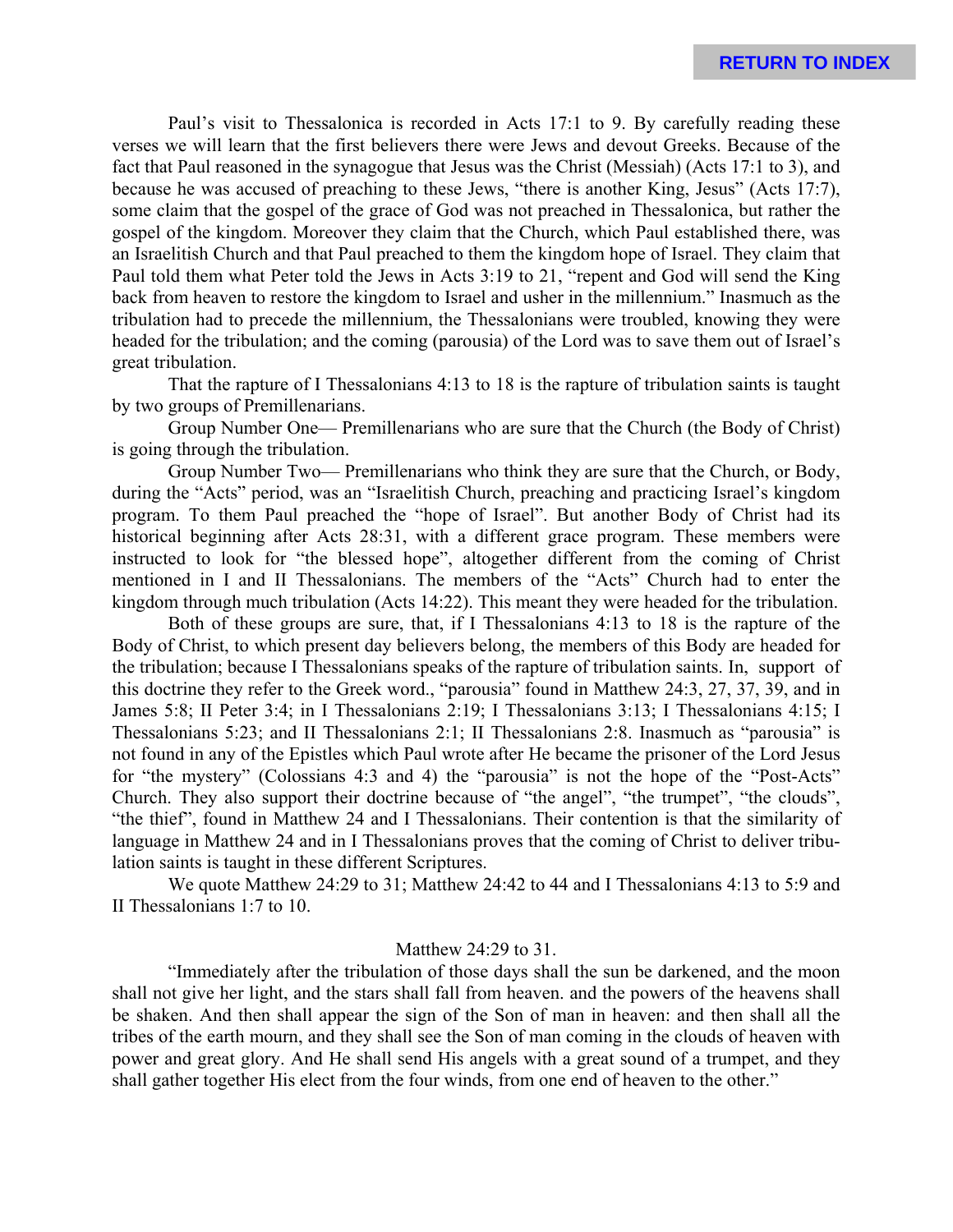Paul's visit to Thessalonica is recorded in Acts 17:1 to 9. By carefully reading these verses we will learn that the first believers there were Jews and devout Greeks. Because of the fact that Paul reasoned in the synagogue that Jesus was the Christ (Messiah) (Acts 17:1 to 3), and because he was accused of preaching to these Jews, "there is another King, Jesus" (Acts 17:7), some claim that the gospel of the grace of God was not preached in Thessalonica, but rather the gospel of the kingdom. Moreover they claim that the Church, which Paul established there, was an Israelitish Church and that Paul preached to them the kingdom hope of Israel. They claim that Paul told them what Peter told the Jews in Acts 3:19 to 21, "repent and God will send the King back from heaven to restore the kingdom to Israel and usher in the millennium." Inasmuch as the tribulation had to precede the millennium, the Thessalonians were troubled, knowing they were headed for the tribulation; and the coming (parousia) of the Lord was to save them out of Israel's great tribulation.

That the rapture of I Thessalonians 4:13 to 18 is the rapture of tribulation saints is taught by two groups of Premillenarians.

Group Number One— Premillenarians who are sure that the Church (the Body of Christ) is going through the tribulation.

Group Number Two— Premillenarians who think they are sure that the Church, or Body, during the "Acts" period, was an "Israelitish Church, preaching and practicing Israel's kingdom program. To them Paul preached the "hope of Israel". But another Body of Christ had its historical beginning after Acts 28:31, with a different grace program. These members were instructed to look for "the blessed hope", altogether different from the coming of Christ mentioned in I and II Thessalonians. The members of the "Acts" Church had to enter the kingdom through much tribulation (Acts 14:22). This meant they were headed for the tribulation.

Both of these groups are sure, that, if I Thessalonians 4:13 to 18 is the rapture of the Body of Christ, to which present day believers belong, the members of this Body are headed for the tribulation; because I Thessalonians speaks of the rapture of tribulation saints. In, support of this doctrine they refer to the Greek word., "parousia" found in Matthew 24:3, 27, 37, 39, and in James 5:8; II Peter 3:4; in I Thessalonians 2:19; I Thessalonians 3:13; I Thessalonians 4:15; I Thessalonians 5:23; and II Thessalonians 2:1; II Thessalonians 2:8. Inasmuch as "parousia" is not found in any of the Epistles which Paul wrote after He became the prisoner of the Lord Jesus for "the mystery" (Colossians 4:3 and 4) the "parousia" is not the hope of the "Post-Acts" Church. They also support their doctrine because of "the angel", "the trumpet", "the clouds", "the thief", found in Matthew 24 and I Thessalonians. Their contention is that the similarity of language in Matthew 24 and in I Thessalonians proves that the coming of Christ to deliver tribulation saints is taught in these different Scriptures.

We quote Matthew 24:29 to 31; Matthew 24:42 to 44 and I Thessalonians 4:13 to 5:9 and II Thessalonians 1:7 to 10.

### Matthew 24:29 to 31.

"Immediately after the tribulation of those days shall the sun be darkened, and the moon shall not give her light, and the stars shall fall from heaven. and the powers of the heavens shall be shaken. And then shall appear the sign of the Son of man in heaven: and then shall all the tribes of the earth mourn, and they shall see the Son of man coming in the clouds of heaven with power and great glory. And He shall send His angels with a great sound of a trumpet, and they shall gather together His elect from the four winds, from one end of heaven to the other."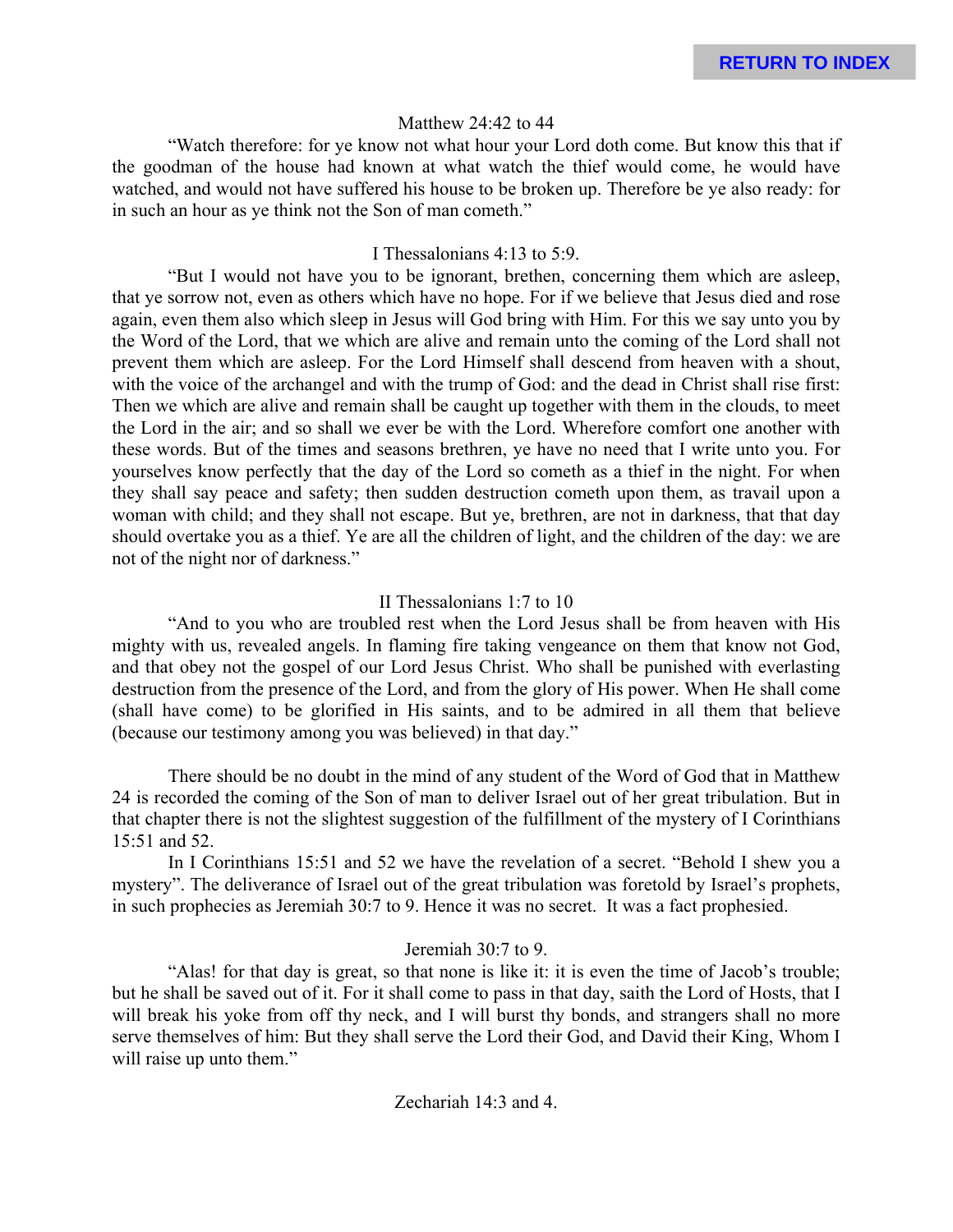### Matthew 24:42 to 44

"Watch therefore: for ye know not what hour your Lord doth come. But know this that if the goodman of the house had known at what watch the thief would come, he would have watched, and would not have suffered his house to be broken up. Therefore be ye also ready: for in such an hour as ye think not the Son of man cometh."

### I Thessalonians 4:13 to 5:9.

"But I would not have you to be ignorant, brethen, concerning them which are asleep, that ye sorrow not, even as others which have no hope. For if we believe that Jesus died and rose again, even them also which sleep in Jesus will God bring with Him. For this we say unto you by the Word of the Lord, that we which are alive and remain unto the coming of the Lord shall not prevent them which are asleep. For the Lord Himself shall descend from heaven with a shout, with the voice of the archangel and with the trump of God: and the dead in Christ shall rise first: Then we which are alive and remain shall be caught up together with them in the clouds, to meet the Lord in the air; and so shall we ever be with the Lord. Wherefore comfort one another with these words. But of the times and seasons brethren, ye have no need that I write unto you. For yourselves know perfectly that the day of the Lord so cometh as a thief in the night. For when they shall say peace and safety; then sudden destruction cometh upon them, as travail upon a woman with child; and they shall not escape. But ye, brethren, are not in darkness, that that day should overtake you as a thief. Ye are all the children of light, and the children of the day: we are not of the night nor of darkness."

### II Thessalonians 1:7 to 10

"And to you who are troubled rest when the Lord Jesus shall be from heaven with His mighty with us, revealed angels. In flaming fire taking vengeance on them that know not God, and that obey not the gospel of our Lord Jesus Christ. Who shall be punished with everlasting destruction from the presence of the Lord, and from the glory of His power. When He shall come (shall have come) to be glorified in His saints, and to be admired in all them that believe (because our testimony among you was believed) in that day."

There should be no doubt in the mind of any student of the Word of God that in Matthew 24 is recorded the coming of the Son of man to deliver Israel out of her great tribulation. But in that chapter there is not the slightest suggestion of the fulfillment of the mystery of I Corinthians 15:51 and 52.

In I Corinthians 15:51 and 52 we have the revelation of a secret. "Behold I shew you a mystery". The deliverance of Israel out of the great tribulation was foretold by Israel's prophets, in such prophecies as Jeremiah 30:7 to 9. Hence it was no secret. It was a fact prophesied.

### Jeremiah 30:7 to 9.

"Alas! for that day is great, so that none is like it: it is even the time of Jacob's trouble; but he shall be saved out of it. For it shall come to pass in that day, saith the Lord of Hosts, that I will break his yoke from off thy neck, and I will burst thy bonds, and strangers shall no more serve themselves of him: But they shall serve the Lord their God, and David their King, Whom I will raise up unto them."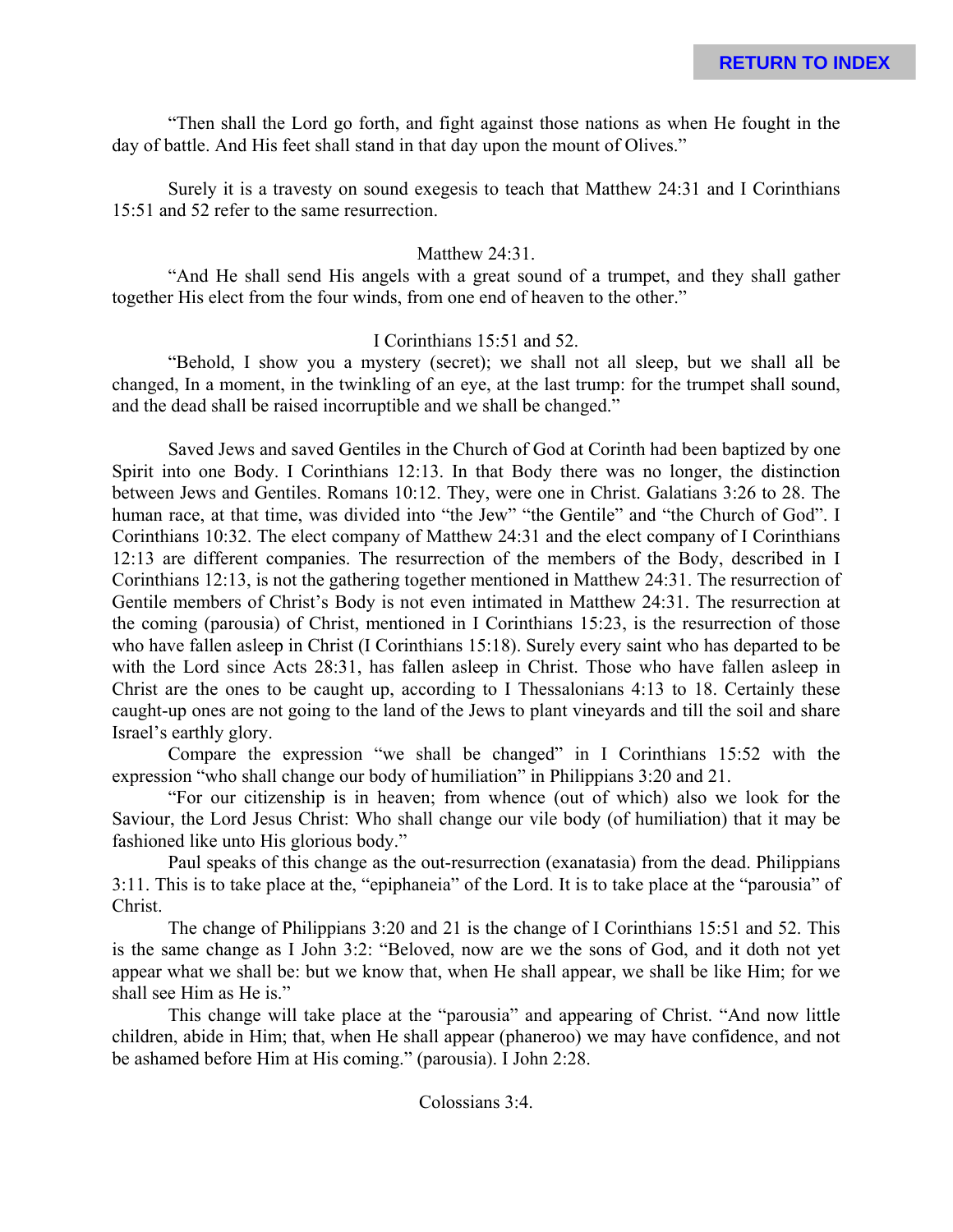"Then shall the Lord go forth, and fight against those nations as when He fought in the day of battle. And His feet shall stand in that day upon the mount of Olives."

Surely it is a travesty on sound exegesis to teach that Matthew 24:31 and I Corinthians 15:51 and 52 refer to the same resurrection.

### Matthew 24:31.

"And He shall send His angels with a great sound of a trumpet, and they shall gather together His elect from the four winds, from one end of heaven to the other."

### I Corinthians 15:51 and 52.

"Behold, I show you a mystery (secret); we shall not all sleep, but we shall all be changed, In a moment, in the twinkling of an eye, at the last trump: for the trumpet shall sound, and the dead shall be raised incorruptible and we shall be changed."

Saved Jews and saved Gentiles in the Church of God at Corinth had been baptized by one Spirit into one Body. I Corinthians 12:13. In that Body there was no longer, the distinction between Jews and Gentiles. Romans 10:12. They, were one in Christ. Galatians 3:26 to 28. The human race, at that time, was divided into "the Jew" "the Gentile" and "the Church of God". I Corinthians 10:32. The elect company of Matthew 24:31 and the elect company of I Corinthians 12:13 are different companies. The resurrection of the members of the Body, described in I Corinthians 12:13, is not the gathering together mentioned in Matthew 24:31. The resurrection of Gentile members of Christ's Body is not even intimated in Matthew 24:31. The resurrection at the coming (parousia) of Christ, mentioned in I Corinthians 15:23, is the resurrection of those who have fallen asleep in Christ (I Corinthians 15:18). Surely every saint who has departed to be with the Lord since Acts 28:31, has fallen asleep in Christ. Those who have fallen asleep in Christ are the ones to be caught up, according to I Thessalonians 4:13 to 18. Certainly these caught-up ones are not going to the land of the Jews to plant vineyards and till the soil and share Israel's earthly glory.

Compare the expression "we shall be changed" in I Corinthians 15:52 with the expression "who shall change our body of humiliation" in Philippians 3:20 and 21.

"For our citizenship is in heaven; from whence (out of which) also we look for the Saviour, the Lord Jesus Christ: Who shall change our vile body (of humiliation) that it may be fashioned like unto His glorious body."

Paul speaks of this change as the out-resurrection (exanatasia) from the dead. Philippians 3:11. This is to take place at the, "epiphaneia" of the Lord. It is to take place at the "parousia" of Christ.

The change of Philippians 3:20 and 21 is the change of I Corinthians 15:51 and 52. This is the same change as I John 3:2: "Beloved, now are we the sons of God, and it doth not yet appear what we shall be: but we know that, when He shall appear, we shall be like Him; for we shall see Him as He is."

This change will take place at the "parousia" and appearing of Christ. "And now little children, abide in Him; that, when He shall appear (phaneroo) we may have confidence, and not be ashamed before Him at His coming." (parousia). I John 2:28.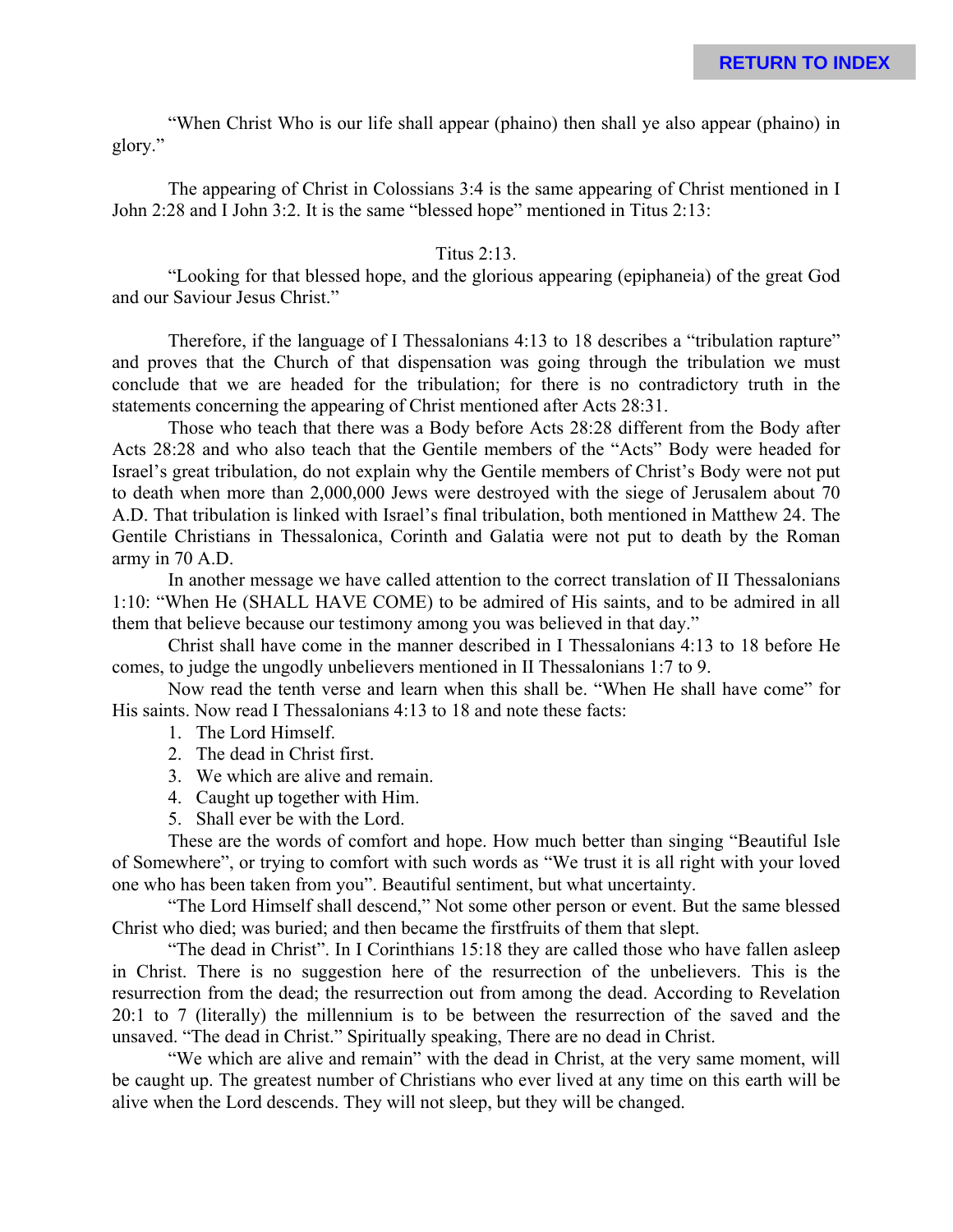"When Christ Who is our life shall appear (phaino) then shall ye also appear (phaino) in glory."

The appearing of Christ in Colossians 3:4 is the same appearing of Christ mentioned in I John 2:28 and I John 3:2. It is the same "blessed hope" mentioned in Titus 2:13:

### Titus 2:13.

"Looking for that blessed hope, and the glorious appearing (epiphaneia) of the great God and our Saviour Jesus Christ."

Therefore, if the language of I Thessalonians 4:13 to 18 describes a "tribulation rapture" and proves that the Church of that dispensation was going through the tribulation we must conclude that we are headed for the tribulation; for there is no contradictory truth in the statements concerning the appearing of Christ mentioned after Acts 28:31.

Those who teach that there was a Body before Acts 28:28 different from the Body after Acts 28:28 and who also teach that the Gentile members of the "Acts" Body were headed for Israel's great tribulation, do not explain why the Gentile members of Christ's Body were not put to death when more than 2,000,000 Jews were destroyed with the siege of Jerusalem about 70 A.D. That tribulation is linked with Israel's final tribulation, both mentioned in Matthew 24. The Gentile Christians in Thessalonica, Corinth and Galatia were not put to death by the Roman army in 70 A.D.

In another message we have called attention to the correct translation of II Thessalonians 1:10: "When He (SHALL HAVE COME) to be admired of His saints, and to be admired in all them that believe because our testimony among you was believed in that day."

Christ shall have come in the manner described in I Thessalonians 4:13 to 18 before He comes, to judge the ungodly unbelievers mentioned in II Thessalonians 1:7 to 9.

Now read the tenth verse and learn when this shall be. "When He shall have come" for His saints. Now read I Thessalonians 4:13 to 18 and note these facts:

- 1. The Lord Himself.
- 2. The dead in Christ first.
- 3. We which are alive and remain.
- 4. Caught up together with Him.
- 5. Shall ever be with the Lord.

These are the words of comfort and hope. How much better than singing "Beautiful Isle of Somewhere", or trying to comfort with such words as "We trust it is all right with your loved one who has been taken from you". Beautiful sentiment, but what uncertainty.

"The Lord Himself shall descend," Not some other person or event. But the same blessed Christ who died; was buried; and then became the firstfruits of them that slept.

"The dead in Christ". In I Corinthians 15:18 they are called those who have fallen asleep in Christ. There is no suggestion here of the resurrection of the unbelievers. This is the resurrection from the dead; the resurrection out from among the dead. According to Revelation 20:1 to 7 (literally) the millennium is to be between the resurrection of the saved and the unsaved. "The dead in Christ." Spiritually speaking, There are no dead in Christ.

"We which are alive and remain" with the dead in Christ, at the very same moment, will be caught up. The greatest number of Christians who ever lived at any time on this earth will be alive when the Lord descends. They will not sleep, but they will be changed.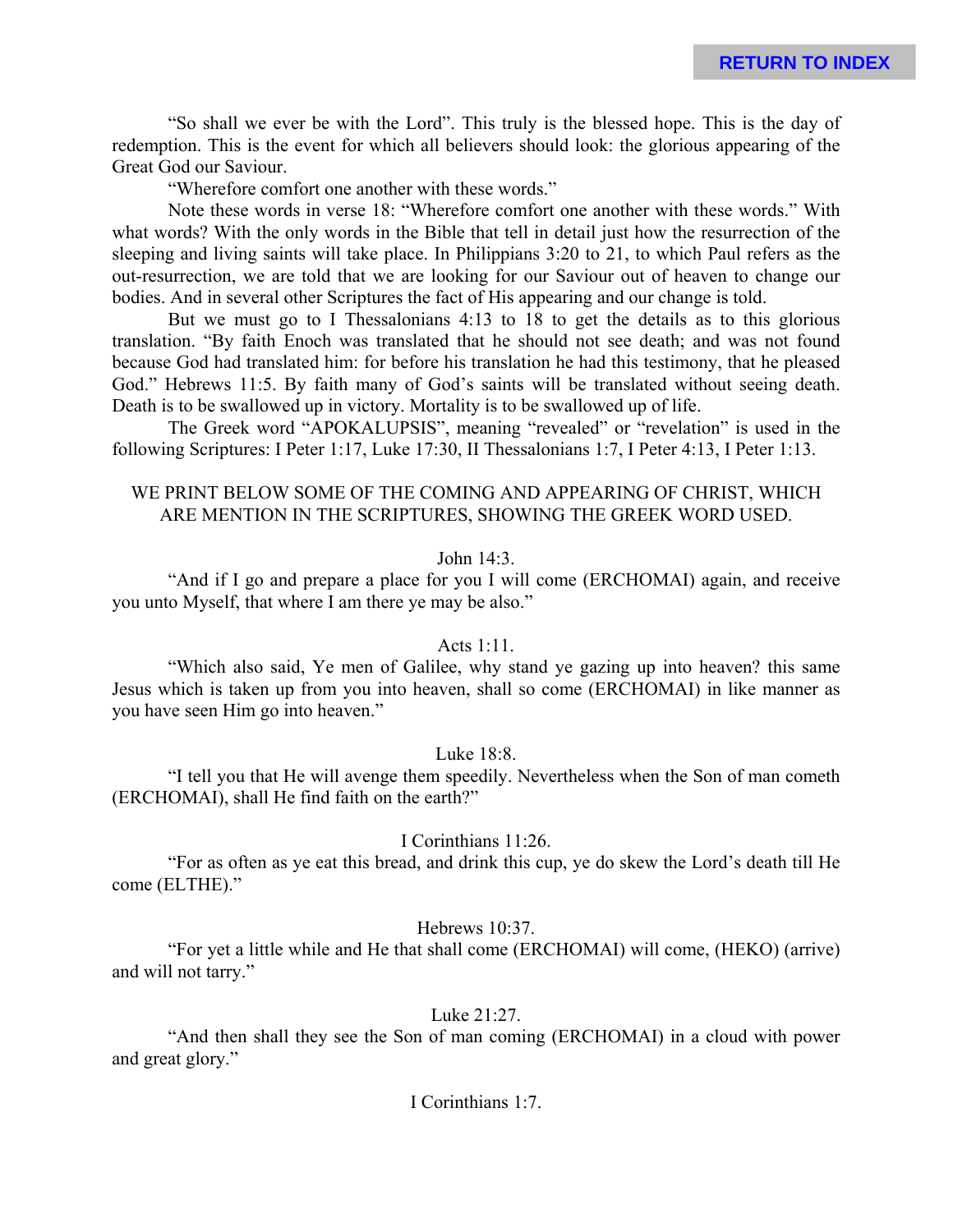"So shall we ever be with the Lord". This truly is the blessed hope. This is the day of redemption. This is the event for which all believers should look: the glorious appearing of the Great God our Saviour.

"Wherefore comfort one another with these words."

Note these words in verse 18: "Wherefore comfort one another with these words." With what words? With the only words in the Bible that tell in detail just how the resurrection of the sleeping and living saints will take place. In Philippians 3:20 to 21, to which Paul refers as the out-resurrection, we are told that we are looking for our Saviour out of heaven to change our bodies. And in several other Scriptures the fact of His appearing and our change is told.

But we must go to I Thessalonians 4:13 to 18 to get the details as to this glorious translation. "By faith Enoch was translated that he should not see death; and was not found because God had translated him: for before his translation he had this testimony, that he pleased God." Hebrews 11:5. By faith many of God's saints will be translated without seeing death. Death is to be swallowed up in victory. Mortality is to be swallowed up of life.

The Greek word "APOKALUPSIS", meaning "revealed" or "revelation" is used in the following Scriptures: I Peter 1:17, Luke 17:30, II Thessalonians 1:7, I Peter 4:13, I Peter 1:13.

### WE PRINT BELOW SOME OF THE COMING AND APPEARING OF CHRIST, WHICH ARE MENTION IN THE SCRIPTURES, SHOWING THE GREEK WORD USED.

#### John 14:3.

"And if I go and prepare a place for you I will come (ERCHOMAI) again, and receive you unto Myself, that where I am there ye may be also."

### Acts 1:11.

"Which also said, Ye men of Galilee, why stand ye gazing up into heaven? this same Jesus which is taken up from you into heaven, shall so come (ERCHOMAI) in like manner as you have seen Him go into heaven."

#### Luke 18:8.

"I tell you that He will avenge them speedily. Nevertheless when the Son of man cometh (ERCHOMAI), shall He find faith on the earth?"

### I Corinthians 11:26.

"For as often as ye eat this bread, and drink this cup, ye do skew the Lord's death till He come (ELTHE)."

#### Hebrews 10:37.

"For yet a little while and He that shall come (ERCHOMAI) will come, (HEKO) (arrive) and will not tarry."

#### Luke 21:27.

"And then shall they see the Son of man coming (ERCHOMAI) in a cloud with power and great glory."

#### I Corinthians 1:7.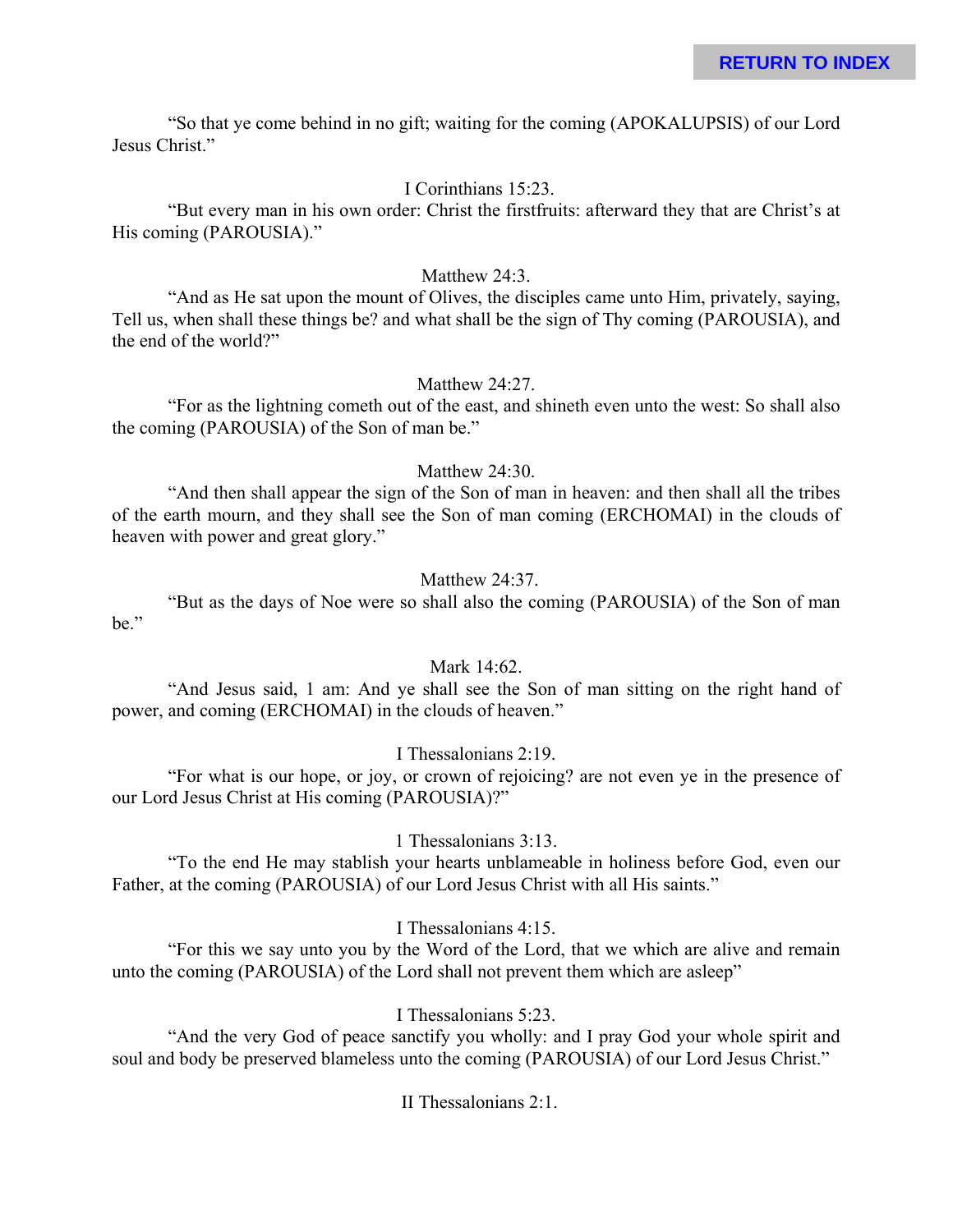"So that ye come behind in no gift; waiting for the coming (APOKALUPSIS) of our Lord Jesus Christ."

### I Corinthians 15:23.

"But every man in his own order: Christ the firstfruits: afterward they that are Christ's at His coming (PAROUSIA)."

### Matthew 24:3.

"And as He sat upon the mount of Olives, the disciples came unto Him, privately, saying, Tell us, when shall these things be? and what shall be the sign of Thy coming (PAROUSIA), and the end of the world?"

### Matthew 24:27.

"For as the lightning cometh out of the east, and shineth even unto the west: So shall also the coming (PAROUSIA) of the Son of man be."

### Matthew 24:30.

"And then shall appear the sign of the Son of man in heaven: and then shall all the tribes of the earth mourn, and they shall see the Son of man coming (ERCHOMAI) in the clouds of heaven with power and great glory."

### Matthew 24:37.

"But as the days of Noe were so shall also the coming (PAROUSIA) of the Son of man be."

### Mark 14:62.

"And Jesus said, 1 am: And ye shall see the Son of man sitting on the right hand of power, and coming (ERCHOMAI) in the clouds of heaven."

### I Thessalonians 2:19.

"For what is our hope, or joy, or crown of rejoicing? are not even ye in the presence of our Lord Jesus Christ at His coming (PAROUSIA)?"

### 1 Thessalonians 3:13.

"To the end He may stablish your hearts unblameable in holiness before God, even our Father, at the coming (PAROUSIA) of our Lord Jesus Christ with all His saints."

### I Thessalonians 4:15.

"For this we say unto you by the Word of the Lord, that we which are alive and remain unto the coming (PAROUSIA) of the Lord shall not prevent them which are asleep"

### I Thessalonians 5:23.

"And the very God of peace sanctify you wholly: and I pray God your whole spirit and soul and body be preserved blameless unto the coming (PAROUSIA) of our Lord Jesus Christ."

II Thessalonians 2:1.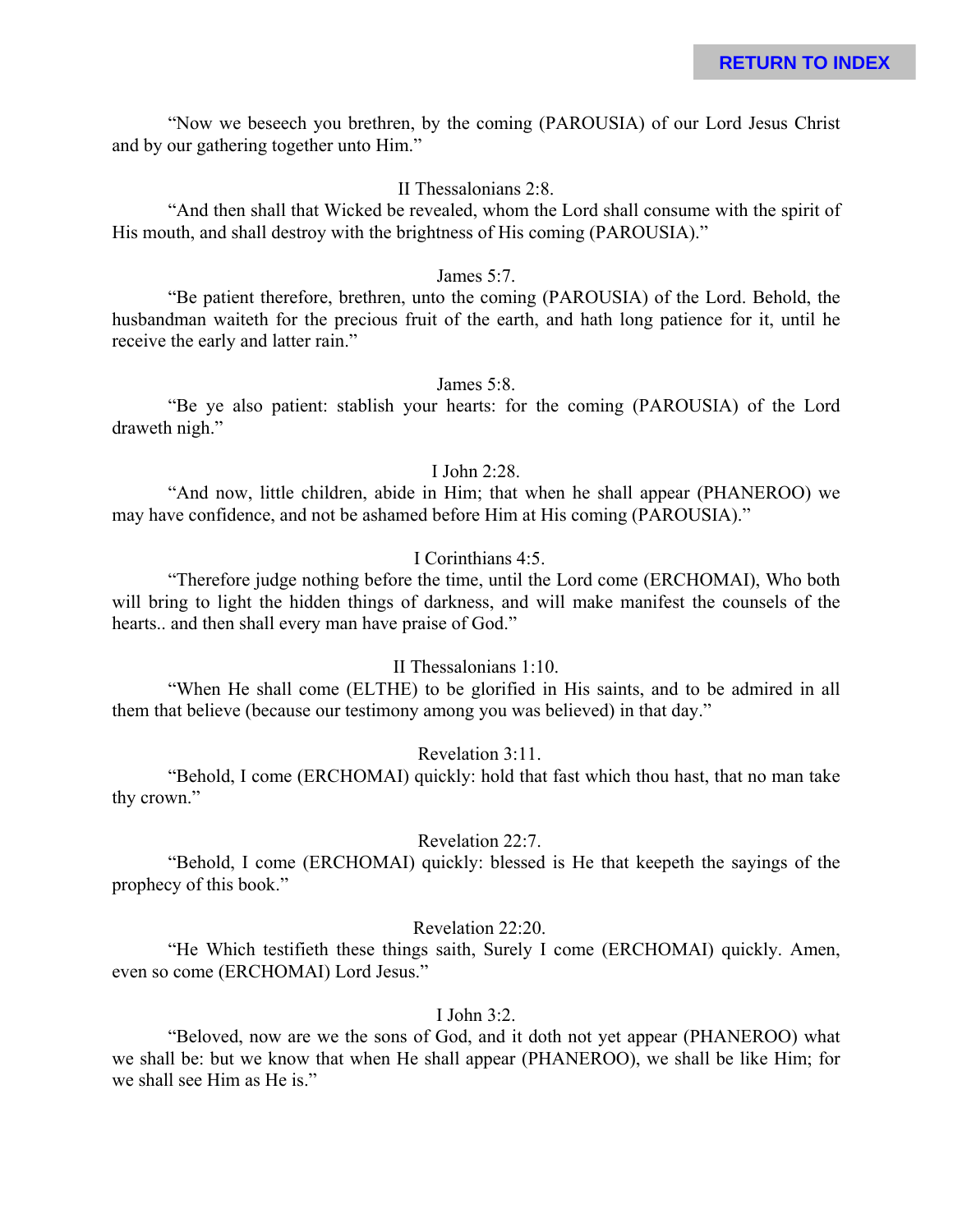"Now we beseech you brethren, by the coming (PAROUSIA) of our Lord Jesus Christ and by our gathering together unto Him."

#### II Thessalonians 2:8.

"And then shall that Wicked be revealed, whom the Lord shall consume with the spirit of His mouth, and shall destroy with the brightness of His coming (PAROUSIA)."

#### James 5:7.

"Be patient therefore, brethren, unto the coming (PAROUSIA) of the Lord. Behold, the husbandman waiteth for the precious fruit of the earth, and hath long patience for it, until he receive the early and latter rain."

### James 5:8.

"Be ye also patient: stablish your hearts: for the coming (PAROUSIA) of the Lord draweth nigh."

### I John 2:28.

"And now, little children, abide in Him; that when he shall appear (PHANEROO) we may have confidence, and not be ashamed before Him at His coming (PAROUSIA)."

### I Corinthians 4:5.

"Therefore judge nothing before the time, until the Lord come (ERCHOMAI), Who both will bring to light the hidden things of darkness, and will make manifest the counsels of the hearts.. and then shall every man have praise of God."

### II Thessalonians 1:10.

"When He shall come (ELTHE) to be glorified in His saints, and to be admired in all them that believe (because our testimony among you was believed) in that day."

### Revelation 3:11.

"Behold, I come (ERCHOMAI) quickly: hold that fast which thou hast, that no man take thy crown."

#### Revelation 22:7.

"Behold, I come (ERCHOMAI) quickly: blessed is He that keepeth the sayings of the prophecy of this book."

### Revelation 22:20.

"He Which testifieth these things saith, Surely I come (ERCHOMAI) quickly. Amen, even so come (ERCHOMAI) Lord Jesus."

### I John 3:2.

"Beloved, now are we the sons of God, and it doth not yet appear (PHANEROO) what we shall be: but we know that when He shall appear (PHANEROO), we shall be like Him; for we shall see Him as He is."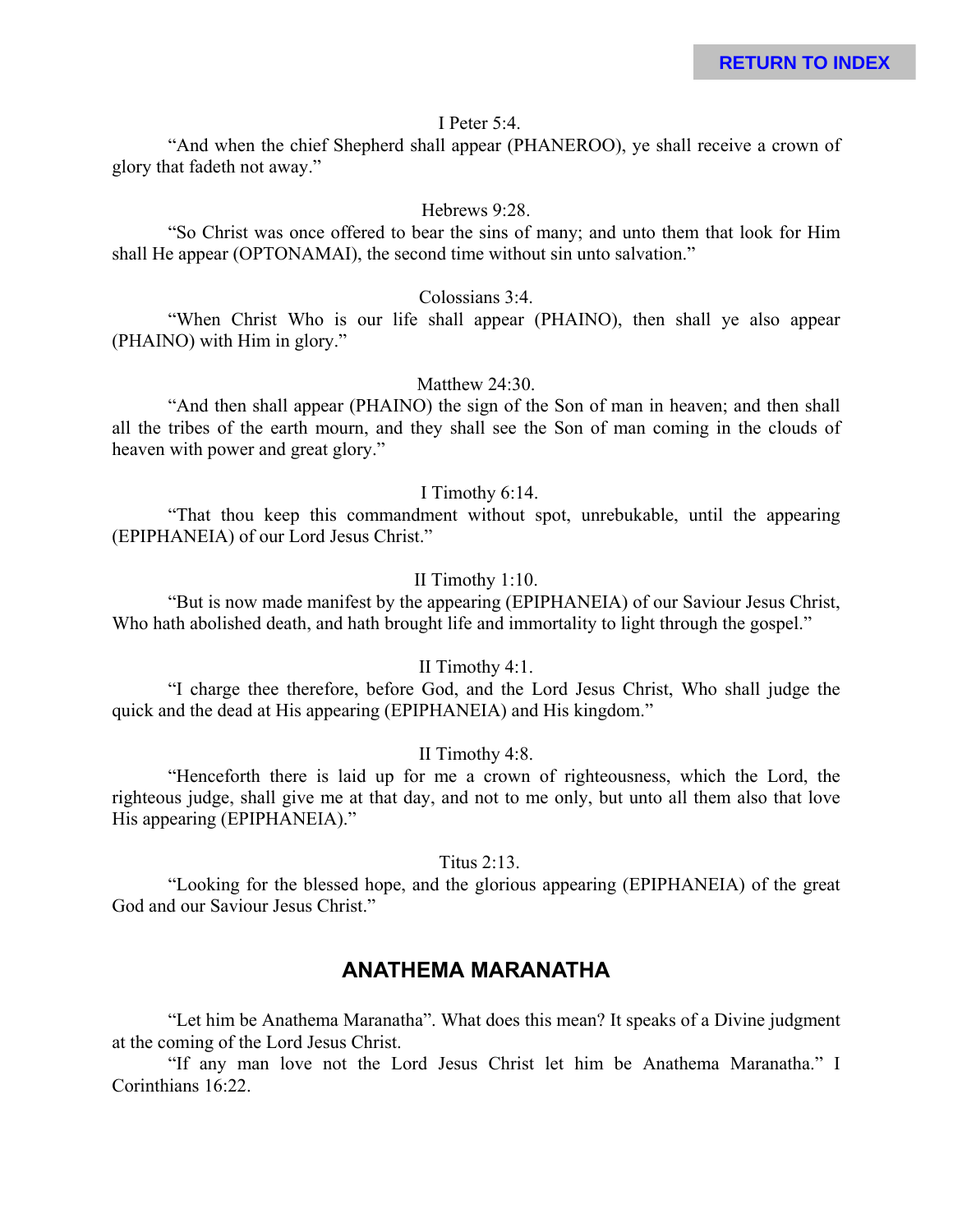#### I Peter 5:4.

"And when the chief Shepherd shall appear (PHANEROO), ye shall receive a crown of glory that fadeth not away."

#### Hebrews 9:28.

"So Christ was once offered to bear the sins of many; and unto them that look for Him shall He appear (OPTONAMAI), the second time without sin unto salvation."

#### Colossians 3:4.

"When Christ Who is our life shall appear (PHAINO), then shall ye also appear (PHAINO) with Him in glory."

### Matthew 24:30.

"And then shall appear (PHAINO) the sign of the Son of man in heaven; and then shall all the tribes of the earth mourn, and they shall see the Son of man coming in the clouds of heaven with power and great glory."

#### I Timothy 6:14.

"That thou keep this commandment without spot, unrebukable, until the appearing (EPIPHANEIA) of our Lord Jesus Christ."

#### II Timothy 1:10.

"But is now made manifest by the appearing (EPIPHANEIA) of our Saviour Jesus Christ, Who hath abolished death, and hath brought life and immortality to light through the gospel."

### II Timothy 4:1.

"I charge thee therefore, before God, and the Lord Jesus Christ, Who shall judge the quick and the dead at His appearing (EPIPHANEIA) and His kingdom."

#### II Timothy 4:8.

"Henceforth there is laid up for me a crown of righteousness, which the Lord, the righteous judge, shall give me at that day, and not to me only, but unto all them also that love His appearing (EPIPHANEIA)."

Titus 2:13.

"Looking for the blessed hope, and the glorious appearing (EPIPHANEIA) of the great God and our Saviour Jesus Christ."

## **ANATHEMA MARANATHA**

"Let him be Anathema Maranatha". What does this mean? It speaks of a Divine judgment at the coming of the Lord Jesus Christ.

"If any man love not the Lord Jesus Christ let him be Anathema Maranatha." I Corinthians 16:22.